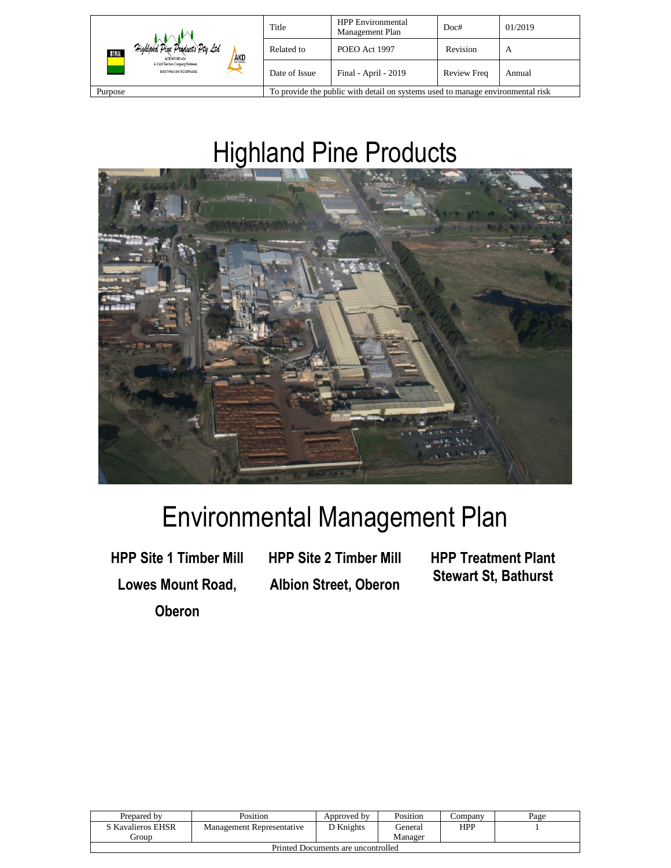| Highland Pine Products Pty Ltd.<br>BORAL<br>AKD<br>ACK 093 059 404<br>A Joint Venture Commany Between<br>Boral Timber and AKD Softwoods | Title                                                                          | <b>HPP</b> Environmental<br>Management Plan          | Doc#     | 01/2019 |
|-----------------------------------------------------------------------------------------------------------------------------------------|--------------------------------------------------------------------------------|------------------------------------------------------|----------|---------|
|                                                                                                                                         | Related to                                                                     | POEO Act 1997                                        | Revision | A       |
|                                                                                                                                         | Date of Issue                                                                  | Final - April - 2019<br><b>Review Freq</b><br>Annual |          |         |
| Purpose                                                                                                                                 | To provide the public with detail on systems used to manage environmental risk |                                                      |          |         |

# Highland Pine Products



# Environmental Management Plan

**HPP Site 1 Timber Mill Lowes Mount Road, Oberon**

**HPP Site 2 Timber Mill Albion Street, Oberon** **HPP Treatment Plant Stewart St, Bathurst**

| Prepared by                        | Position                  | Approved by | Position | Company | Page |
|------------------------------------|---------------------------|-------------|----------|---------|------|
| S Kavalieros EHSR                  | Management Representative | D Knights   | General  | HPP     |      |
| . iroun                            |                           |             | Manager  |         |      |
| Drinted Documents are uncontrolled |                           |             |          |         |      |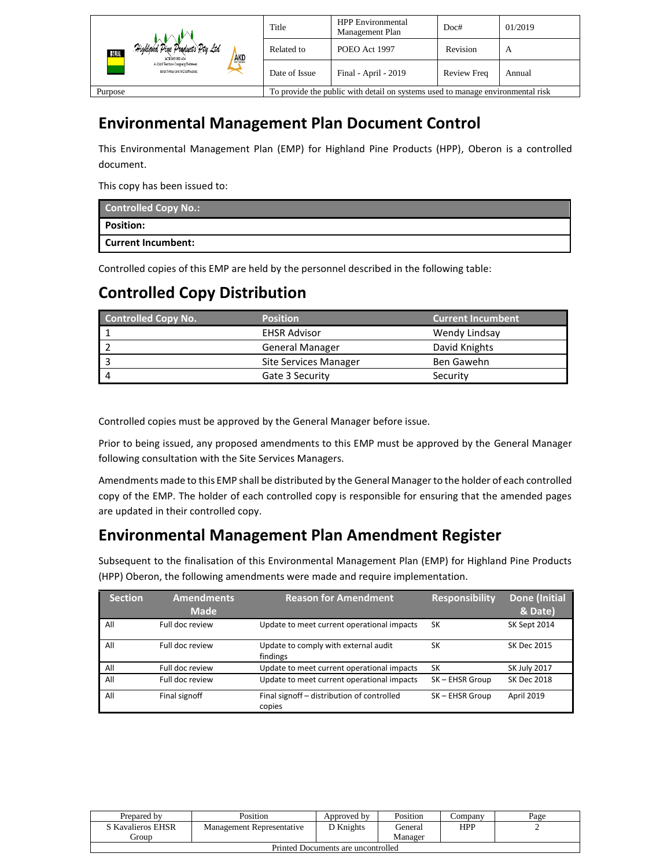| Highland Pine Products Pty Ltd<br>30 J.A.L<br>AKD<br>ACK 093 059 404<br>A Joint Venture Conmany Between<br>Boral Timber and AKD Softwoods | Title                                                                          | <b>HPP</b> Environmental<br>Management Plan | Doc#               | 01/2019 |
|-------------------------------------------------------------------------------------------------------------------------------------------|--------------------------------------------------------------------------------|---------------------------------------------|--------------------|---------|
|                                                                                                                                           | Related to                                                                     | POEO Act 1997                               | Revision           | A       |
|                                                                                                                                           | Date of Issue                                                                  | Final - April - 2019                        | <b>Review Freq</b> | Annual  |
| Purpose                                                                                                                                   | To provide the public with detail on systems used to manage environmental risk |                                             |                    |         |

## **Environmental Management Plan Document Control**

This Environmental Management Plan (EMP) for Highland Pine Products (HPP), Oberon is a controlled document.

This copy has been issued to:

| <b>Controlled Copy No.:</b> |
|-----------------------------|
| Position:                   |
| <b>Current Incumbent:</b>   |

Controlled copies of this EMP are held by the personnel described in the following table:

## **Controlled Copy Distribution**

| <b>Controlled Copy No.</b> | <b>Position</b>        | <b>Current Incumbent</b> |
|----------------------------|------------------------|--------------------------|
|                            | <b>EHSR Advisor</b>    | Wendy Lindsay            |
|                            | <b>General Manager</b> | David Knights            |
|                            | Site Services Manager  | Ben Gawehn               |
|                            | Gate 3 Security        | Security                 |

Controlled copies must be approved by the General Manager before issue.

Prior to being issued, any proposed amendments to this EMP must be approved by the General Manager following consultation with the Site Services Managers.

Amendments made to this EMP shall be distributed by the General Manager to the holder of each controlled copy of the EMP. The holder of each controlled copy is responsible for ensuring that the amended pages are updated in their controlled copy.

## **Environmental Management Plan Amendment Register**

Subsequent to the finalisation of this Environmental Management Plan (EMP) for Highland Pine Products (HPP) Oberon, the following amendments were made and require implementation.

| <b>Section</b> | <b>Amendments</b><br><b>Made</b> | <b>Reason for Amendment</b>                          | <b>Responsibility</b> | <b>Done</b> (Initial<br>& Date) |
|----------------|----------------------------------|------------------------------------------------------|-----------------------|---------------------------------|
| All            | Full doc review                  | Update to meet current operational impacts           | SK                    | SK Sept 2014                    |
| All            | Full doc review                  | Update to comply with external audit<br>findings     | SK                    | SK Dec 2015                     |
| All            | Full doc review                  | Update to meet current operational impacts           | SK                    | <b>SK July 2017</b>             |
| All            | Full doc review                  | Update to meet current operational impacts           | SK-EHSR Group         | SK Dec 2018                     |
| All            | Final signoff                    | Final signoff - distribution of controlled<br>copies | SK-EHSR Group         | April 2019                      |

| Prepared by                        | Position                  | Approved by | Position  | Company    | Page |
|------------------------------------|---------------------------|-------------|-----------|------------|------|
| S Kavalieros EHSR                  | Management Representative | D Knights   | ( ieneral | <b>HPP</b> |      |
| eroup                              |                           |             | Manager   |            |      |
| Printed Documents are uncontrolled |                           |             |           |            |      |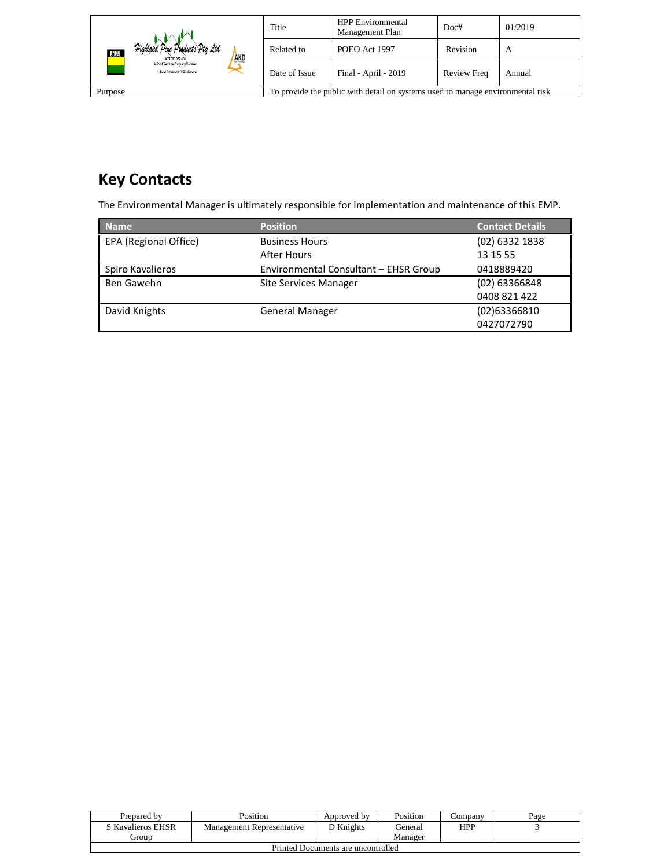| Highland Pine Products Pty Ltd<br>BORAL<br>AKD<br>ACK 093 059 404<br>A Joint Venture Company Between<br>Boral Timber and AKD Softwoods | Title                                                                          | <b>HPP</b> Environmental<br>Management Plan | Doc#               | 01/2019 |
|----------------------------------------------------------------------------------------------------------------------------------------|--------------------------------------------------------------------------------|---------------------------------------------|--------------------|---------|
|                                                                                                                                        | Related to                                                                     | POEO Act 1997                               | Revision           | A       |
|                                                                                                                                        | Date of Issue                                                                  | Final - April - 2019                        | <b>Review Freq</b> | Annual  |
| Purpose                                                                                                                                | To provide the public with detail on systems used to manage environmental risk |                                             |                    |         |

# **Key Contacts**

The Environmental Manager is ultimately responsible for implementation and maintenance of this EMP.

| <b>Name</b>           | <b>Position</b>                       | <b>Contact Details</b> |
|-----------------------|---------------------------------------|------------------------|
| EPA (Regional Office) | <b>Business Hours</b>                 | (02) 6332 1838         |
|                       | After Hours                           | 13 15 55               |
| Spiro Kavalieros      | Environmental Consultant - EHSR Group | 0418889420             |
| Ben Gawehn            | <b>Site Services Manager</b>          | (02) 63366848          |
|                       |                                       | 0408 821 422           |
| David Knights         | <b>General Manager</b>                | $(02)$ 63366810        |
|                       |                                       | 0427072790             |

| Prepared by                        | Position                  | Approved by      | Position | ∠ompanv    | Page |
|------------------------------------|---------------------------|------------------|----------|------------|------|
| S Kavalieros EHSR                  | Management Representative | <b>T</b> Knights | General  | <b>HPP</b> |      |
| Group                              |                           |                  | Manager  |            |      |
| Printed Documents are uncontrolled |                           |                  |          |            |      |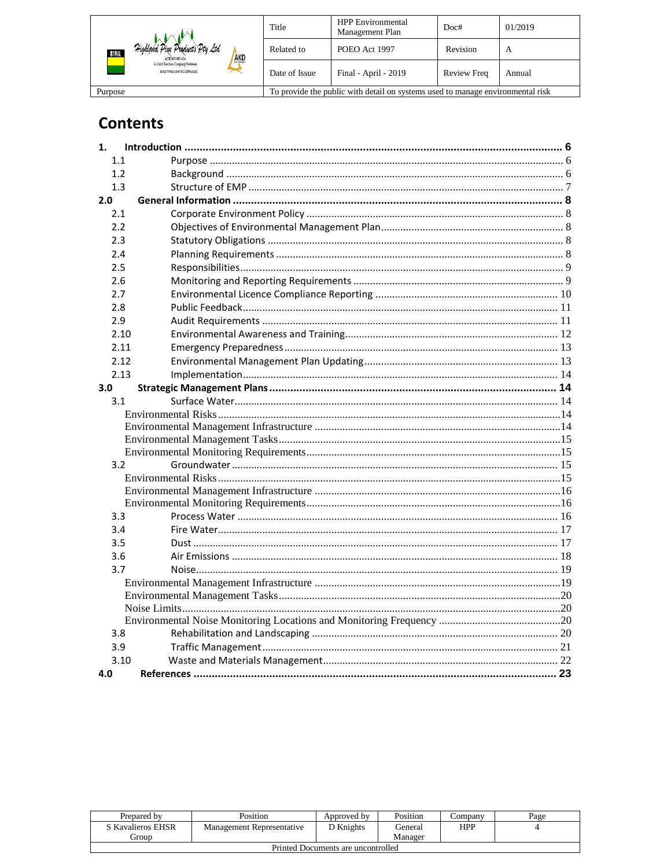| Highland Pine Products Pty Ltd<br>30 RAL<br><b>AKD</b><br>ACK 093 059 404<br>A Joint Venture Consums Between<br>Boral Timber and AKD Softwoods | Title                                                                          | <b>HPP</b> Environmental<br>Management Plan          | Doc#     | 01/2019 |
|------------------------------------------------------------------------------------------------------------------------------------------------|--------------------------------------------------------------------------------|------------------------------------------------------|----------|---------|
|                                                                                                                                                | Related to                                                                     | POEO Act 1997                                        | Revision | A       |
|                                                                                                                                                | Date of Issue                                                                  | Final - April - 2019<br><b>Review Freq</b><br>Annual |          |         |
| Purpose                                                                                                                                        | To provide the public with detail on systems used to manage environmental risk |                                                      |          |         |

# **Contents**

| 1.   |  |
|------|--|
| 1.1  |  |
| 1.2  |  |
| 1.3  |  |
| 2.0  |  |
| 2.1  |  |
| 2.2  |  |
| 2.3  |  |
| 2.4  |  |
| 2.5  |  |
| 2.6  |  |
| 2.7  |  |
| 2.8  |  |
| 2.9  |  |
| 2.10 |  |
| 2.11 |  |
| 2.12 |  |
| 2.13 |  |
| 3.0  |  |
| 3.1  |  |
|      |  |
|      |  |
|      |  |
|      |  |
| 3.2  |  |
|      |  |
|      |  |
| 3.3  |  |
| 3.4  |  |
| 3.5  |  |
| 3.6  |  |
| 3.7  |  |
|      |  |
|      |  |
|      |  |
|      |  |
| 3.8  |  |
| 3.9  |  |
| 3.10 |  |
| 4.0  |  |

| Prepared by                        | Position                  | Approved by | Position | ∠ompanv | Page |
|------------------------------------|---------------------------|-------------|----------|---------|------|
| S Kavalieros EHSR                  | Management Representative | ת Knights   | ieneral) | HPP     |      |
| Group                              |                           |             | Manager  |         |      |
| Drinted Documents are uncontrolled |                           |             |          |         |      |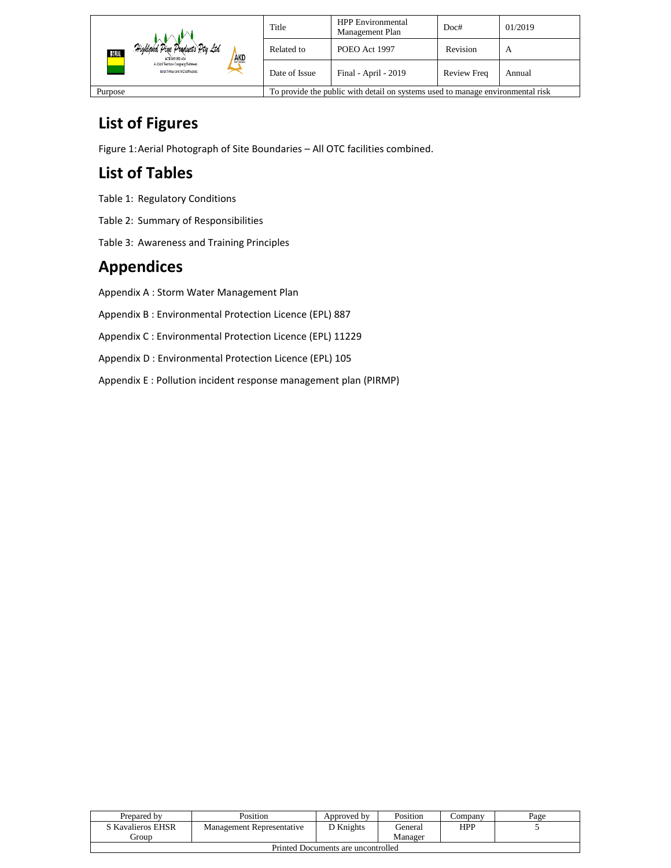| Highland Pine Products Pty Ltd<br>BORAL<br><b>AKD</b><br>ACK 093 059 404<br>A Joint Venture Company Between<br>Boral Timber and AKD Softwoods | Title                                                                          | <b>HPP</b> Environmental<br>Management Plan | Doc#               | 01/2019 |
|-----------------------------------------------------------------------------------------------------------------------------------------------|--------------------------------------------------------------------------------|---------------------------------------------|--------------------|---------|
|                                                                                                                                               | Related to                                                                     | POEO Act 1997                               | Revision           | А       |
|                                                                                                                                               | Date of Issue                                                                  | Final - April - 2019                        | <b>Review Freq</b> | Annual  |
| Purpose                                                                                                                                       | To provide the public with detail on systems used to manage environmental risk |                                             |                    |         |

## **List of Figures**

Figure 1:Aerial Photograph of Site Boundaries – All OTC facilities combined.

# **List of Tables**

Table 1: Regulatory Conditions

Table 2: Summary of Responsibilities

Table 3: Awareness and Training Principles

## **Appendices**

Appendix A : Storm Water Management Plan

Appendix B : Environmental Protection Licence (EPL) 887

Appendix C : Environmental Protection Licence (EPL) 11229

Appendix D : Environmental Protection Licence (EPL) 105

Appendix E : Pollution incident response management plan (PIRMP)

| Prepared by                        | Position                  | Approved by | Position | company | Page |
|------------------------------------|---------------------------|-------------|----------|---------|------|
| S Kavalieros EHSR                  | Management Representative | ר Knights   | General  | HPP     |      |
| <b>iroup</b>                       |                           |             | Manager  |         |      |
| Printed Documents are uncontrolled |                           |             |          |         |      |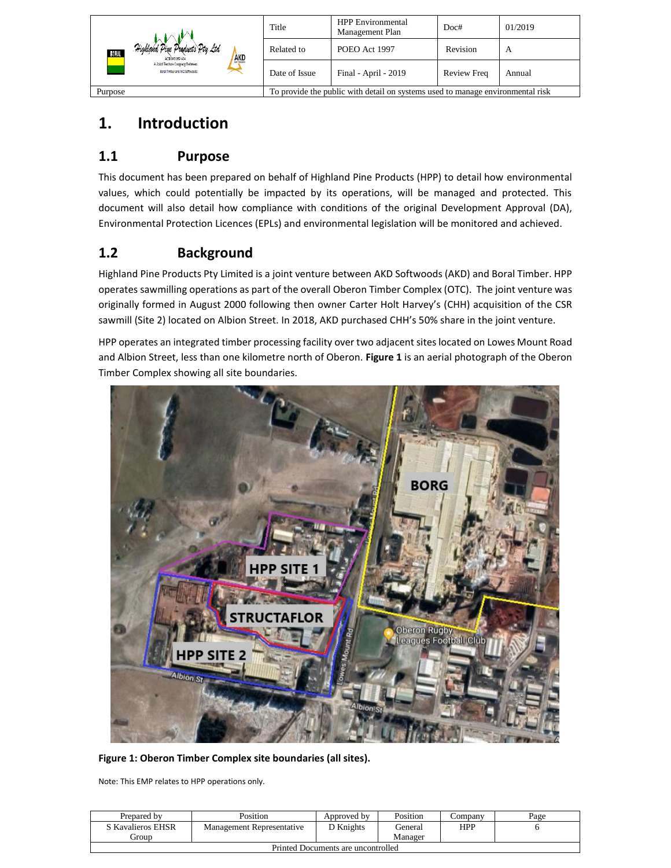| Highland Pine Products Pty Ltd<br>BORAL<br><b>AKD</b><br>ACN 093 059 404<br>A Joint Venture Commany Between<br>Boral Timber and AKD Softwoods | Title         | <b>HPP</b> Environmental<br>Management Plan                                    | Doc#               | 01/2019 |
|-----------------------------------------------------------------------------------------------------------------------------------------------|---------------|--------------------------------------------------------------------------------|--------------------|---------|
|                                                                                                                                               | Related to    | POEO Act 1997                                                                  | Revision           | A       |
|                                                                                                                                               | Date of Issue | Final - April - 2019                                                           | <b>Review Freq</b> | Annual  |
| Purpose                                                                                                                                       |               | To provide the public with detail on systems used to manage environmental risk |                    |         |

## <span id="page-5-0"></span>**1. Introduction**

## <span id="page-5-1"></span>**1.1 Purpose**

This document has been prepared on behalf of Highland Pine Products (HPP) to detail how environmental values, which could potentially be impacted by its operations, will be managed and protected. This document will also detail how compliance with conditions of the original Development Approval (DA), Environmental Protection Licences (EPLs) and environmental legislation will be monitored and achieved.

## <span id="page-5-2"></span>**1.2 Background**

Highland Pine Products Pty Limited is a joint venture between AKD Softwoods (AKD) and Boral Timber. HPP operates sawmilling operations as part of the overall Oberon Timber Complex (OTC). The joint venture was originally formed in August 2000 following then owner Carter Holt Harvey's (CHH) acquisition of the CSR sawmill (Site 2) located on Albion Street. In 2018, AKD purchased CHH's 50% share in the joint venture.

HPP operates an integrated timber processing facility over two adjacent sites located on Lowes Mount Road and Albion Street, less than one kilometre north of Oberon. **Figure 1** is an aerial photograph of the Oberon Timber Complex showing all site boundaries.



**Figure 1: Oberon Timber Complex site boundaries (all sites).**

Note: This EMP relates to HPP operations only.

| Prepared by                        | Position                  | Approved by | Position | ∠ompanv | Page |
|------------------------------------|---------------------------|-------------|----------|---------|------|
| S Kavalieros EHSR                  | Management Representative | D Knights   | General  | HPP     |      |
| . iroun                            |                           |             | Manager  |         |      |
| Printed Documents are uncontrolled |                           |             |          |         |      |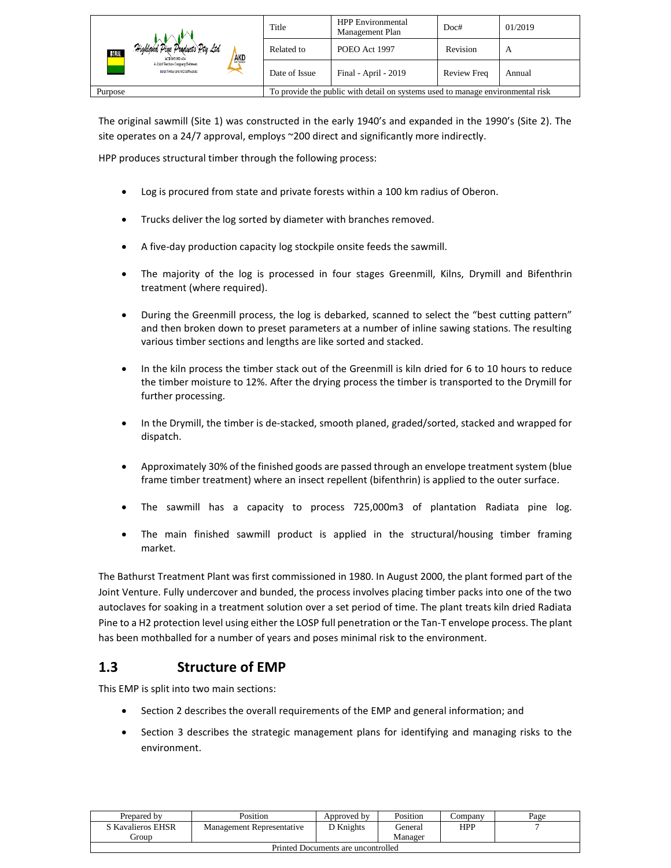| Highland Pine Products Pty Ltd<br>30 J.A.L<br><b>AKD</b><br>ACN 093 059 404<br>A Joint Venture Company Between<br>Boral Timber and AKD Softwoods | Title                                                | <b>HPP</b> Environmental<br>Management Plan                                    | Doc#     | 01/2019 |  |
|--------------------------------------------------------------------------------------------------------------------------------------------------|------------------------------------------------------|--------------------------------------------------------------------------------|----------|---------|--|
|                                                                                                                                                  | Related to                                           | POEO Act 1997                                                                  | Revision | A       |  |
|                                                                                                                                                  | Final - April - 2019<br>Review Freq<br>Date of Issue |                                                                                | Annual   |         |  |
| Purpose                                                                                                                                          |                                                      | To provide the public with detail on systems used to manage environmental risk |          |         |  |

The original sawmill (Site 1) was constructed in the early 1940's and expanded in the 1990's (Site 2). The site operates on a 24/7 approval, employs ~200 direct and significantly more indirectly.

HPP produces structural timber through the following process:

- Log is procured from state and private forests within a 100 km radius of Oberon.
- Trucks deliver the log sorted by diameter with branches removed.
- A five-day production capacity log stockpile onsite feeds the sawmill.
- The majority of the log is processed in four stages Greenmill, Kilns, Drymill and Bifenthrin treatment (where required).
- During the Greenmill process, the log is debarked, scanned to select the "best cutting pattern" and then broken down to preset parameters at a number of inline sawing stations. The resulting various timber sections and lengths are like sorted and stacked.
- In the kiln process the timber stack out of the Greenmill is kiln dried for 6 to 10 hours to reduce the timber moisture to 12%. After the drying process the timber is transported to the Drymill for further processing.
- In the Drymill, the timber is de-stacked, smooth planed, graded/sorted, stacked and wrapped for dispatch.
- Approximately 30% of the finished goods are passed through an envelope treatment system (blue frame timber treatment) where an insect repellent (bifenthrin) is applied to the outer surface.
- The sawmill has a capacity to process 725,000m3 of plantation Radiata pine log.
- The main finished sawmill product is applied in the structural/housing timber framing market.

The Bathurst Treatment Plant was first commissioned in 1980. In August 2000, the plant formed part of the Joint Venture. Fully undercover and bunded, the process involves placing timber packs into one of the two autoclaves for soaking in a treatment solution over a set period of time. The plant treats kiln dried Radiata Pine to a H2 protection level using either the LOSP full penetration or the Tan-T envelope process. The plant has been mothballed for a number of years and poses minimal risk to the environment.

## <span id="page-6-0"></span>**1.3 Structure of EMP**

This EMP is split into two main sections:

- Section 2 describes the overall requirements of the EMP and general information; and
- Section 3 describes the strategic management plans for identifying and managing risks to the environment.

| Prepared by                        | Position                  | Approved by | Position | ∠ompanv    | Page |
|------------------------------------|---------------------------|-------------|----------|------------|------|
| S Kavalieros EHSR                  | Management Representative | D Knights   | General  | <b>HPP</b> |      |
| Group                              |                           |             | Manager  |            |      |
| Printed Documents are uncontrolled |                           |             |          |            |      |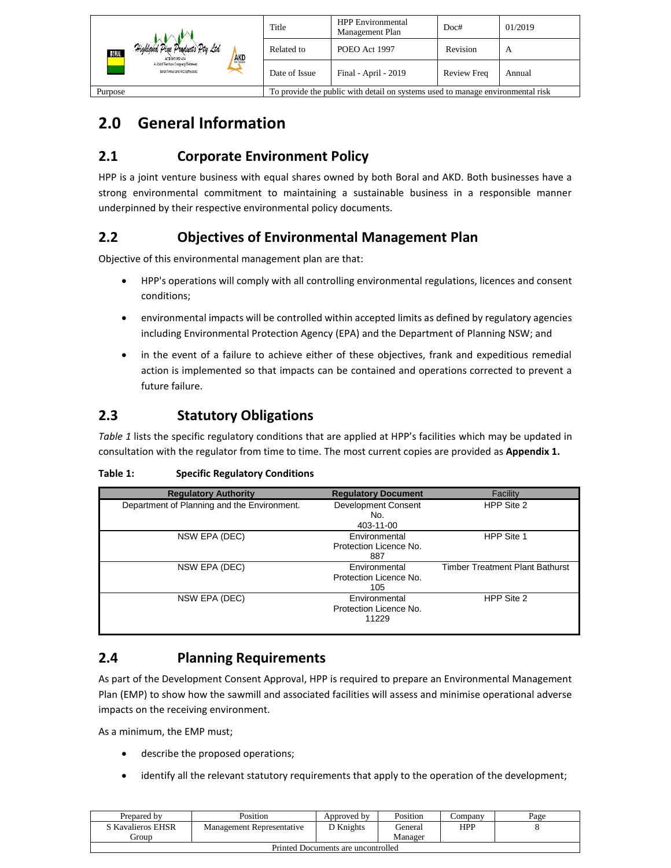| Highland Pine Products Pty Ltd<br>RORAL<br>AKD<br>ACK 093 059 404<br>A Joint Venture Commany Between<br>Boral Timber and AKD Softwoods | Title         | <b>HPP</b> Environmental<br>Management Plan                                    | Doc#               | 01/2019 |
|----------------------------------------------------------------------------------------------------------------------------------------|---------------|--------------------------------------------------------------------------------|--------------------|---------|
|                                                                                                                                        | Related to    | POEO Act 1997                                                                  | Revision           | А       |
|                                                                                                                                        | Date of Issue | Final - April - 2019                                                           | <b>Review Freq</b> | Annual  |
| Purpose                                                                                                                                |               | To provide the public with detail on systems used to manage environmental risk |                    |         |

## <span id="page-7-0"></span>**2.0 General Information**

## <span id="page-7-1"></span>**2.1 Corporate Environment Policy**

HPP is a joint venture business with equal shares owned by both Boral and AKD. Both businesses have a strong environmental commitment to maintaining a sustainable business in a responsible manner underpinned by their respective environmental policy documents.

## <span id="page-7-2"></span>**2.2 Objectives of Environmental Management Plan**

Objective of this environmental management plan are that:

- HPP's operations will comply with all controlling environmental regulations, licences and consent conditions;
- environmental impacts will be controlled within accepted limits as defined by regulatory agencies including Environmental Protection Agency (EPA) and the Department of Planning NSW; and
- in the event of a failure to achieve either of these objectives, frank and expeditious remedial action is implemented so that impacts can be contained and operations corrected to prevent a future failure.

## <span id="page-7-3"></span>**2.3 Statutory Obligations**

*Table 1* lists the specific regulatory conditions that are applied at HPP's facilities which may be updated in consultation with the regulator from time to time. The most current copies are provided as **Appendix 1.**

| <b>Regulatory Authority</b>                 | <b>Regulatory Document</b>                              | Facility                               |
|---------------------------------------------|---------------------------------------------------------|----------------------------------------|
| Department of Planning and the Environment. | Development Consent<br>No.<br>403-11-00                 | HPP Site 2                             |
| NSW EPA (DEC)                               | Environmental<br>Protection Licence No.<br>887          | HPP Site 1                             |
| NSW EPA (DEC)                               | Environmental<br>Protection Licence No.<br>105          | <b>Timber Treatment Plant Bathurst</b> |
| NSW EPA (DEC)                               | <b>Environmental</b><br>Protection Licence No.<br>11229 | HPP Site 2                             |

#### **Table 1: Specific Regulatory Conditions**

## <span id="page-7-4"></span>**2.4 Planning Requirements**

As part of the Development Consent Approval, HPP is required to prepare an Environmental Management Plan (EMP) to show how the sawmill and associated facilities will assess and minimise operational adverse impacts on the receiving environment.

As a minimum, the EMP must;

- describe the proposed operations;
- identify all the relevant statutory requirements that apply to the operation of the development;

| Prepared by                        | Position                  | Approved by | Position | Company    | Page |
|------------------------------------|---------------------------|-------------|----------|------------|------|
| S Kavalieros EHSR                  | Management Representative | ת Knights   | General  | <b>HPP</b> |      |
| Group                              |                           |             | Manager  |            |      |
| Printed Documents are uncontrolled |                           |             |          |            |      |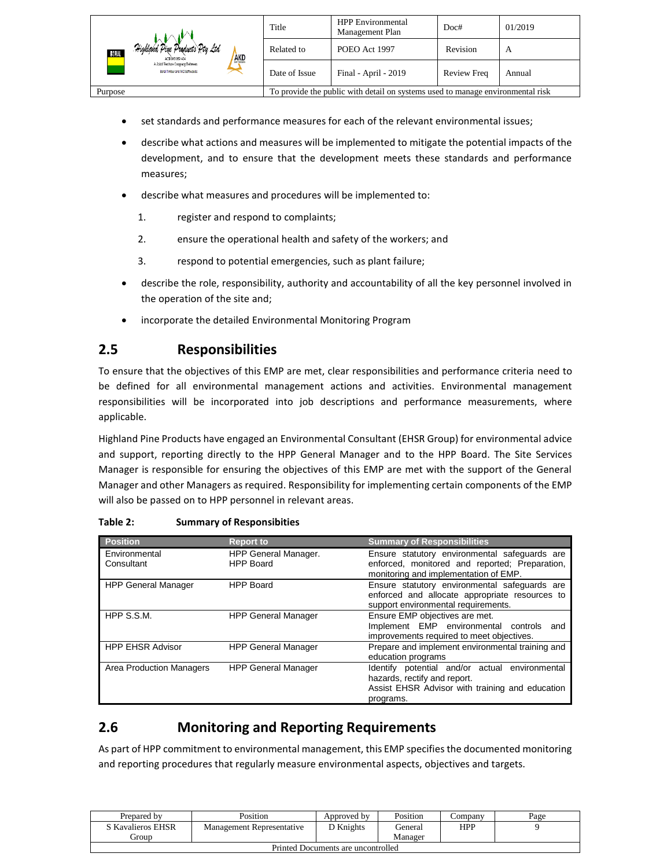| Highland Pine Products Pty Ltd<br>BORAL<br><b>AKD</b><br>ACN 093 059 404<br>A Joint Venture Company Between<br>Boral Timber and AKD Softwoods | Title         | <b>HPP</b> Environmental<br>Management Plan                                    | Doc#               | 01/2019 |
|-----------------------------------------------------------------------------------------------------------------------------------------------|---------------|--------------------------------------------------------------------------------|--------------------|---------|
|                                                                                                                                               | Related to    | POEO Act 1997                                                                  | Revision           | A       |
|                                                                                                                                               | Date of Issue | Final - April - 2019                                                           | <b>Review Freq</b> | Annual  |
| Purpose                                                                                                                                       |               | To provide the public with detail on systems used to manage environmental risk |                    |         |

- set standards and performance measures for each of the relevant environmental issues;
- describe what actions and measures will be implemented to mitigate the potential impacts of the development, and to ensure that the development meets these standards and performance measures;
- describe what measures and procedures will be implemented to:
	- 1. register and respond to complaints;
	- 2. ensure the operational health and safety of the workers; and
	- 3. respond to potential emergencies, such as plant failure;
- describe the role, responsibility, authority and accountability of all the key personnel involved in the operation of the site and;
- incorporate the detailed Environmental Monitoring Program

## <span id="page-8-0"></span>**2.5 Responsibilities**

To ensure that the objectives of this EMP are met, clear responsibilities and performance criteria need to be defined for all environmental management actions and activities. Environmental management responsibilities will be incorporated into job descriptions and performance measurements, where applicable.

Highland Pine Products have engaged an Environmental Consultant (EHSR Group) for environmental advice and support, reporting directly to the HPP General Manager and to the HPP Board. The Site Services Manager is responsible for ensuring the objectives of this EMP are met with the support of the General Manager and other Managers as required. Responsibility for implementing certain components of the EMP will also be passed on to HPP personnel in relevant areas.

| <b>Position</b>                 | <b>Report to</b>                         | <b>Summary of Responsibilities</b>                                                                                                             |
|---------------------------------|------------------------------------------|------------------------------------------------------------------------------------------------------------------------------------------------|
| Environmental<br>Consultant     | HPP General Manager.<br><b>HPP Board</b> | Ensure statutory environmental safeguards are<br>enforced, monitored and reported; Preparation,<br>monitoring and implementation of EMP.       |
| <b>HPP General Manager</b>      | <b>HPP Board</b>                         | Ensure statutory environmental safeguards are<br>enforced and allocate appropriate resources to<br>support environmental requirements.         |
| HPP S.S.M.                      | <b>HPP General Manager</b>               | Ensure EMP objectives are met.<br>Implement EMP environmental controls and<br>improvements required to meet objectives.                        |
| <b>HPP EHSR Advisor</b>         | <b>HPP General Manager</b>               | Prepare and implement environmental training and<br>education programs                                                                         |
| <b>Area Production Managers</b> | <b>HPP General Manager</b>               | Identify potential and/or actual environmental<br>hazards, rectify and report.<br>Assist EHSR Advisor with training and education<br>programs. |

| <b>Summary of Responsibities</b> |
|----------------------------------|
|                                  |

## <span id="page-8-1"></span>**2.6 Monitoring and Reporting Requirements**

As part of HPP commitment to environmental management, this EMP specifies the documented monitoring and reporting procedures that regularly measure environmental aspects, objectives and targets.

| Prepared by                        | Position                  | Approved by | Position | ∠ompanv    | Page |  |  |
|------------------------------------|---------------------------|-------------|----------|------------|------|--|--|
| S Kavalieros EHSR                  | Management Representative | D Knights   | General  | <b>HPP</b> |      |  |  |
| Group)                             |                           |             | Manager  |            |      |  |  |
| Printed Documents are uncontrolled |                           |             |          |            |      |  |  |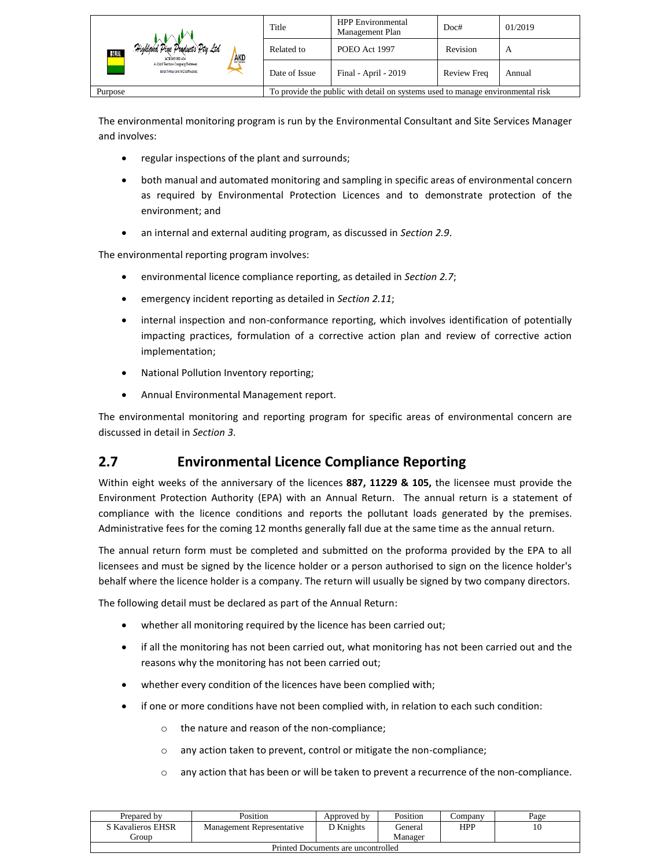|                                                                                 | Title                                                                          | <b>HPP</b> Environmental<br>Management Plan | Doc#        | 01/2019 |
|---------------------------------------------------------------------------------|--------------------------------------------------------------------------------|---------------------------------------------|-------------|---------|
| Highland Pine Products Pty Ltd<br><b>RORAL</b><br><b>AKD</b><br>ACK 093 059 404 | Related to                                                                     | POEO Act 1997                               | Revision    | A       |
| A Joint Venture Commany Between<br>Boral Timber and AKD Softwoods               | Date of Issue                                                                  | Final - April - 2019                        | Review Freq | Annual  |
| Purpose                                                                         | To provide the public with detail on systems used to manage environmental risk |                                             |             |         |

The environmental monitoring program is run by the Environmental Consultant and Site Services Manager and involves:

- regular inspections of the plant and surrounds;
- both manual and automated monitoring and sampling in specific areas of environmental concern as required by Environmental Protection Licences and to demonstrate protection of the environment; and
- an internal and external auditing program, as discussed in *Section 2.9*.

The environmental reporting program involves:

- environmental licence compliance reporting, as detailed in *Section 2.7*;
- emergency incident reporting as detailed in *Section 2.11*;
- internal inspection and non-conformance reporting, which involves identification of potentially impacting practices, formulation of a corrective action plan and review of corrective action implementation;
- National Pollution Inventory reporting;
- Annual Environmental Management report.

The environmental monitoring and reporting program for specific areas of environmental concern are discussed in detail in *Section 3*.

## <span id="page-9-0"></span>**2.7 Environmental Licence Compliance Reporting**

Within eight weeks of the anniversary of the licences **887, 11229 & 105,** the licensee must provide the Environment Protection Authority (EPA) with an Annual Return. The annual return is a statement of compliance with the licence conditions and reports the pollutant loads generated by the premises. Administrative fees for the coming 12 months generally fall due at the same time as the annual return.

The annual return form must be completed and submitted on the proforma provided by the EPA to all licensees and must be signed by the licence holder or a person authorised to sign on the licence holder's behalf where the licence holder is a company. The return will usually be signed by two company directors.

The following detail must be declared as part of the Annual Return:

- whether all monitoring required by the licence has been carried out;
- if all the monitoring has not been carried out, what monitoring has not been carried out and the reasons why the monitoring has not been carried out;
- whether every condition of the licences have been complied with;
- if one or more conditions have not been complied with, in relation to each such condition:
	- o the nature and reason of the non-compliance;
	- o any action taken to prevent, control or mitigate the non-compliance;
	- o any action that has been or will be taken to prevent a recurrence of the non-compliance.

| Prepared by                        | Position                  | Approved by | Position | ∠ompanv    | Page |  |  |
|------------------------------------|---------------------------|-------------|----------|------------|------|--|--|
| S Kavalieros EHSR                  | Management Representative | D Knights   | General  | <b>HPP</b> |      |  |  |
| <b>iroun</b>                       |                           |             | Manager  |            |      |  |  |
| Printed Documents are uncontrolled |                           |             |          |            |      |  |  |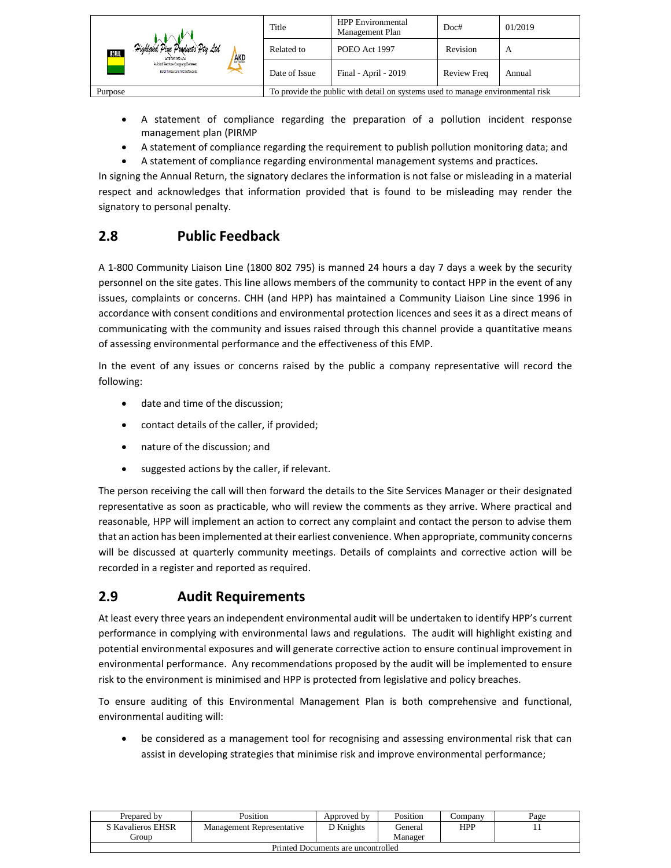|                                                                          | Title                                                                          | <b>HPP</b> Environmental<br>Management Plan | Doc#               | 01/2019 |
|--------------------------------------------------------------------------|--------------------------------------------------------------------------------|---------------------------------------------|--------------------|---------|
| Highland Pine Products Pty Ltd<br><b>RORAL</b><br>AKD<br>ACN 093 059 404 | Related to                                                                     | POEO Act 1997                               | Revision           | A       |
| A Joint Venture Company Between<br>Boral Timber and AKD Softwoods        | Date of Issue                                                                  | Final - April - 2019                        | <b>Review Freq</b> | Annual  |
| Purpose                                                                  | To provide the public with detail on systems used to manage environmental risk |                                             |                    |         |

- A statement of compliance regarding the preparation of a pollution incident response management plan (PIRMP
- A statement of compliance regarding the requirement to publish pollution monitoring data; and
- A statement of compliance regarding environmental management systems and practices.

In signing the Annual Return, the signatory declares the information is not false or misleading in a material respect and acknowledges that information provided that is found to be misleading may render the signatory to personal penalty.

## <span id="page-10-0"></span>**2.8 Public Feedback**

A 1-800 Community Liaison Line (1800 802 795) is manned 24 hours a day 7 days a week by the security personnel on the site gates. This line allows members of the community to contact HPP in the event of any issues, complaints or concerns. CHH (and HPP) has maintained a Community Liaison Line since 1996 in accordance with consent conditions and environmental protection licences and sees it as a direct means of communicating with the community and issues raised through this channel provide a quantitative means of assessing environmental performance and the effectiveness of this EMP.

In the event of any issues or concerns raised by the public a company representative will record the following:

- date and time of the discussion;
- contact details of the caller, if provided;
- nature of the discussion; and
- suggested actions by the caller, if relevant.

The person receiving the call will then forward the details to the Site Services Manager or their designated representative as soon as practicable, who will review the comments as they arrive. Where practical and reasonable, HPP will implement an action to correct any complaint and contact the person to advise them that an action has been implemented at their earliest convenience. When appropriate, community concerns will be discussed at quarterly community meetings. Details of complaints and corrective action will be recorded in a register and reported as required.

## <span id="page-10-1"></span>**2.9 Audit Requirements**

At least every three years an independent environmental audit will be undertaken to identify HPP's current performance in complying with environmental laws and regulations. The audit will highlight existing and potential environmental exposures and will generate corrective action to ensure continual improvement in environmental performance. Any recommendations proposed by the audit will be implemented to ensure risk to the environment is minimised and HPP is protected from legislative and policy breaches.

To ensure auditing of this Environmental Management Plan is both comprehensive and functional, environmental auditing will:

• be considered as a management tool for recognising and assessing environmental risk that can assist in developing strategies that minimise risk and improve environmental performance;

| Prepared by                        | Position                  | Approved by | Position | company    | Page |  |  |
|------------------------------------|---------------------------|-------------|----------|------------|------|--|--|
| S Kavalieros EHSR                  | Management Representative | ) Knights   | General  | <b>HPP</b> |      |  |  |
| Group                              |                           |             | Manager  |            |      |  |  |
| Printed Documents are uncontrolled |                           |             |          |            |      |  |  |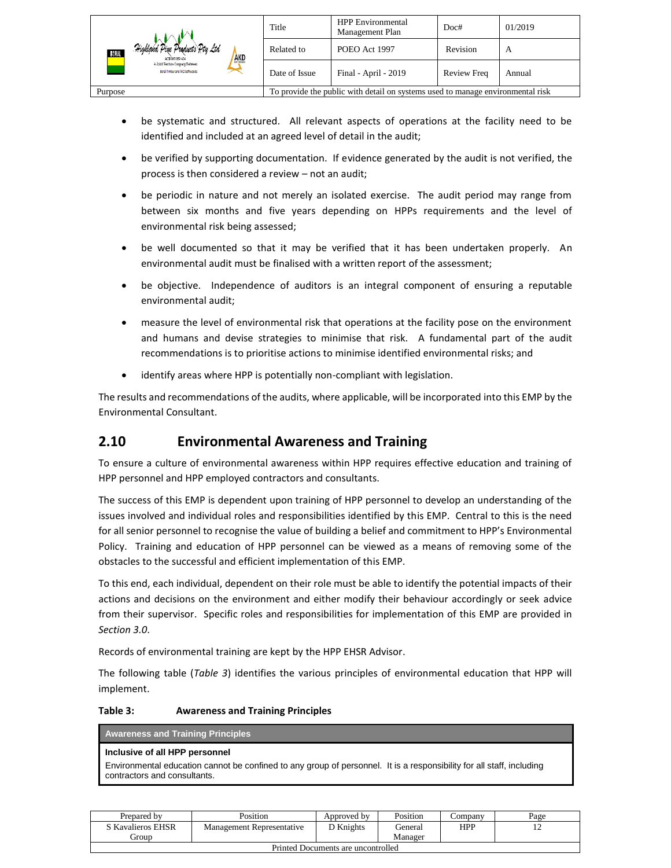|                                                                   | Title                                                                          | <b>HPP</b> Environmental<br>Management Plan | Doc#               | 01/2019 |
|-------------------------------------------------------------------|--------------------------------------------------------------------------------|---------------------------------------------|--------------------|---------|
| Highland Pine Products Pty Ltd<br>BORAL<br>AKD<br>ACN 093 059 404 | Related to                                                                     | POEO Act 1997                               | Revision           | A       |
| A Joint Venture Commany Between<br>Boral Timber and AKD Softwoods | Date of Issue                                                                  | Final - April - 2019                        | <b>Review Freq</b> | Annual  |
| Purpose                                                           | To provide the public with detail on systems used to manage environmental risk |                                             |                    |         |

- be systematic and structured. All relevant aspects of operations at the facility need to be identified and included at an agreed level of detail in the audit;
- be verified by supporting documentation. If evidence generated by the audit is not verified, the process is then considered a review – not an audit;
- be periodic in nature and not merely an isolated exercise. The audit period may range from between six months and five years depending on HPPs requirements and the level of environmental risk being assessed;
- be well documented so that it may be verified that it has been undertaken properly. An environmental audit must be finalised with a written report of the assessment;
- be objective. Independence of auditors is an integral component of ensuring a reputable environmental audit;
- measure the level of environmental risk that operations at the facility pose on the environment and humans and devise strategies to minimise that risk. A fundamental part of the audit recommendations is to prioritise actions to minimise identified environmental risks; and
- identify areas where HPP is potentially non-compliant with legislation.

The results and recommendations of the audits, where applicable, will be incorporated into this EMP by the Environmental Consultant.

## <span id="page-11-0"></span>**2.10 Environmental Awareness and Training**

To ensure a culture of environmental awareness within HPP requires effective education and training of HPP personnel and HPP employed contractors and consultants.

The success of this EMP is dependent upon training of HPP personnel to develop an understanding of the issues involved and individual roles and responsibilities identified by this EMP. Central to this is the need for all senior personnel to recognise the value of building a belief and commitment to HPP's Environmental Policy. Training and education of HPP personnel can be viewed as a means of removing some of the obstacles to the successful and efficient implementation of this EMP.

To this end, each individual, dependent on their role must be able to identify the potential impacts of their actions and decisions on the environment and either modify their behaviour accordingly or seek advice from their supervisor. Specific roles and responsibilities for implementation of this EMP are provided in *Section 3.0*.

Records of environmental training are kept by the HPP EHSR Advisor.

The following table (*Table 3*) identifies the various principles of environmental education that HPP will implement.

#### **Table 3: Awareness and Training Principles**

| <b>Awareness and Training Principles</b>                                                                                                              |
|-------------------------------------------------------------------------------------------------------------------------------------------------------|
| Inclusive of all HPP personnel                                                                                                                        |
| Environmental education cannot be confined to any group of personnel. It is a responsibility for all staff, including<br>contractors and consultants. |

| Prepared by                        | Position                         | Approved by | Position | ∠ompanv    | Page |  |  |
|------------------------------------|----------------------------------|-------------|----------|------------|------|--|--|
| S Kavalieros EHSR                  | <b>Management Representative</b> | D Knights   | General  | <b>HPP</b> |      |  |  |
| Group                              |                                  |             | Manager  |            |      |  |  |
| Printed Documents are uncontrolled |                                  |             |          |            |      |  |  |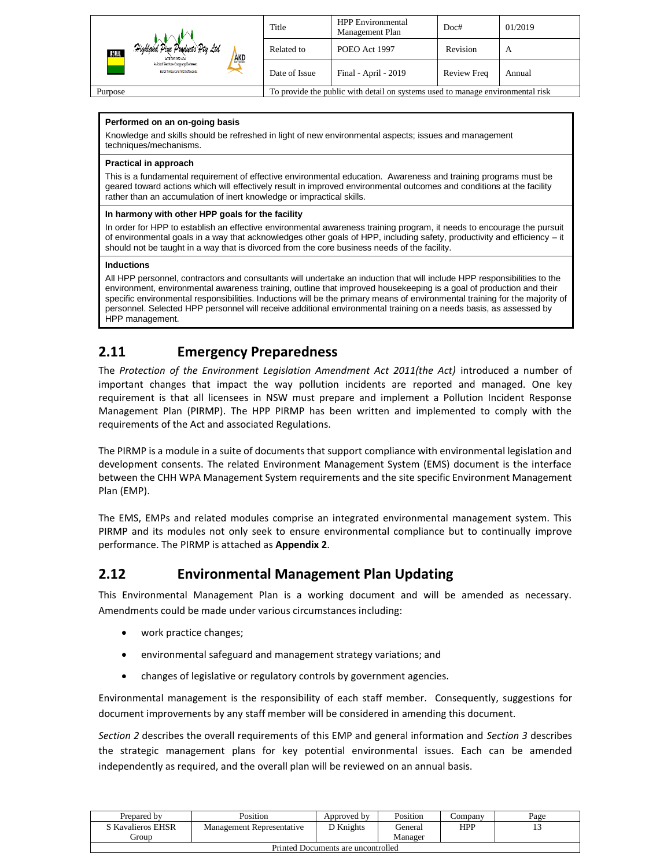|                                                                           | Title                                                                          | <b>HPP</b> Environmental<br>Management Plan | Doc#        | 01/2019 |
|---------------------------------------------------------------------------|--------------------------------------------------------------------------------|---------------------------------------------|-------------|---------|
| Highland Pine Products Pty Ltd.<br>30.AL<br><b>AKD</b><br>ACK 093 059 404 | Related to                                                                     | POEO Act 1997                               | Revision    | A       |
| A Joint Venture Consums Between<br>Boral Timber and AKD Softwoods         | Date of Issue                                                                  | Final - April - 2019                        | Review Freq | Annual  |
| Purpose                                                                   | To provide the public with detail on systems used to manage environmental risk |                                             |             |         |

#### **Performed on an on-going basis**

Knowledge and skills should be refreshed in light of new environmental aspects; issues and management techniques/mechanisms.

#### **Practical in approach**

This is a fundamental requirement of effective environmental education. Awareness and training programs must be geared toward actions which will effectively result in improved environmental outcomes and conditions at the facility rather than an accumulation of inert knowledge or impractical skills.

#### **In harmony with other HPP goals for the facility**

In order for HPP to establish an effective environmental awareness training program, it needs to encourage the pursuit of environmental goals in a way that acknowledges other goals of HPP, including safety, productivity and efficiency – it should not be taught in a way that is divorced from the core business needs of the facility.

#### **Inductions**

All HPP personnel, contractors and consultants will undertake an induction that will include HPP responsibilities to the environment, environmental awareness training, outline that improved housekeeping is a goal of production and their specific environmental responsibilities. Inductions will be the primary means of environmental training for the majority of personnel. Selected HPP personnel will receive additional environmental training on a needs basis, as assessed by HPP management.

## <span id="page-12-0"></span>**2.11 Emergency Preparedness**

The *Protection of the Environment Legislation Amendment Act 2011(the Act)* introduced a number of important changes that impact the way pollution incidents are reported and managed. One key requirement is that all licensees in NSW must prepare and implement a Pollution Incident Response Management Plan (PIRMP). The HPP PIRMP has been written and implemented to comply with the requirements of the Act and associated Regulations.

The PIRMP is a module in a suite of documents that support compliance with environmental legislation and development consents. The related Environment Management System (EMS) document is the interface between the CHH WPA Management System requirements and the site specific Environment Management Plan (EMP).

The EMS, EMPs and related modules comprise an integrated environmental management system. This PIRMP and its modules not only seek to ensure environmental compliance but to continually improve performance. The PIRMP is attached as **Appendix 2**.

## <span id="page-12-1"></span>**2.12 Environmental Management Plan Updating**

This Environmental Management Plan is a working document and will be amended as necessary. Amendments could be made under various circumstances including:

- work practice changes;
- environmental safeguard and management strategy variations; and
- changes of legislative or regulatory controls by government agencies.

Environmental management is the responsibility of each staff member. Consequently, suggestions for document improvements by any staff member will be considered in amending this document.

*Section 2* describes the overall requirements of this EMP and general information and *Section 3* describes the strategic management plans for key potential environmental issues. Each can be amended independently as required, and the overall plan will be reviewed on an annual basis.

| Prepared by                        | Position                  | Approved by | Position | ∠ompanv | Page |  |  |
|------------------------------------|---------------------------|-------------|----------|---------|------|--|--|
| S Kavalieros EHSR                  | Management Representative | D Knights   | General  | HPP     |      |  |  |
| . iroun                            |                           |             | Manager  |         |      |  |  |
| Printed Documents are uncontrolled |                           |             |          |         |      |  |  |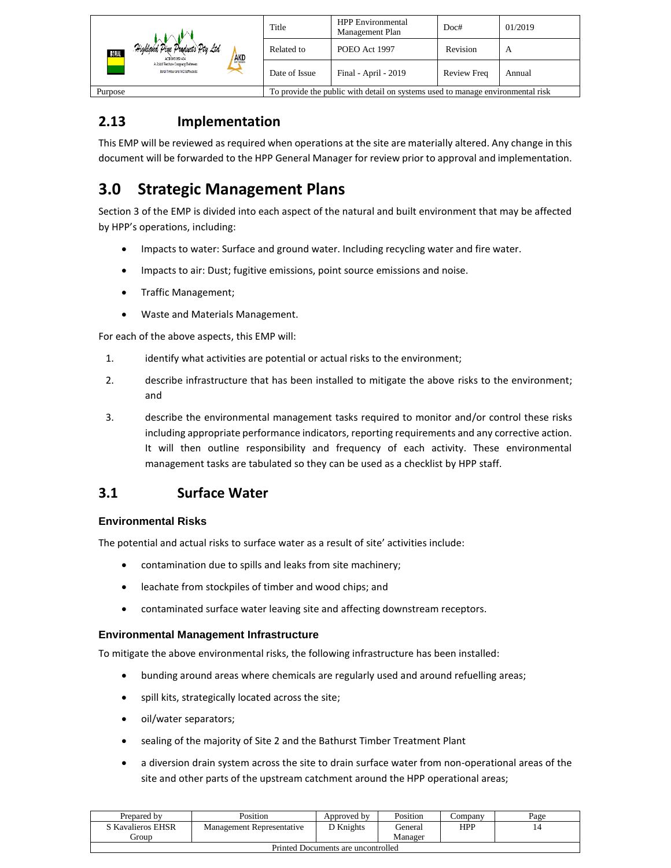|                                                                             | Title                                                                          | <b>HPP</b> Environmental<br>Management Plan | Doc#               | 01/2019 |
|-----------------------------------------------------------------------------|--------------------------------------------------------------------------------|---------------------------------------------|--------------------|---------|
| Highland Pine Products Pty Ltd<br>30 J.A.L<br><b>AKD</b><br>ACK 093 059 404 | Related to                                                                     | POEO Act 1997                               | Revision           | A       |
| A Joint Venture Commany Between<br>Boral Timber and AKD Softwoods           | Date of Issue                                                                  | Final - April - 2019                        | <b>Review Freq</b> | Annual  |
| Purpose                                                                     | To provide the public with detail on systems used to manage environmental risk |                                             |                    |         |

## <span id="page-13-0"></span>**2.13 Implementation**

This EMP will be reviewed as required when operations at the site are materially altered. Any change in this document will be forwarded to the HPP General Manager for review prior to approval and implementation.

# <span id="page-13-1"></span>**3.0 Strategic Management Plans**

Section 3 of the EMP is divided into each aspect of the natural and built environment that may be affected by HPP's operations, including:

- Impacts to water: Surface and ground water. Including recycling water and fire water.
- Impacts to air: Dust; fugitive emissions, point source emissions and noise.
- Traffic Management;
- Waste and Materials Management.

For each of the above aspects, this EMP will:

- 1. identify what activities are potential or actual risks to the environment;
- 2. describe infrastructure that has been installed to mitigate the above risks to the environment; and
- 3. describe the environmental management tasks required to monitor and/or control these risks including appropriate performance indicators, reporting requirements and any corrective action. It will then outline responsibility and frequency of each activity. These environmental management tasks are tabulated so they can be used as a checklist by HPP staff.

## <span id="page-13-2"></span>**3.1 Surface Water**

#### <span id="page-13-3"></span>**Environmental Risks**

The potential and actual risks to surface water as a result of site' activities include:

- contamination due to spills and leaks from site machinery;
- leachate from stockpiles of timber and wood chips; and
- contaminated surface water leaving site and affecting downstream receptors.

#### <span id="page-13-4"></span>**Environmental Management Infrastructure**

To mitigate the above environmental risks, the following infrastructure has been installed:

- bunding around areas where chemicals are regularly used and around refuelling areas;
- spill kits, strategically located across the site;
- oil/water separators;
- sealing of the majority of Site 2 and the Bathurst Timber Treatment Plant
- a diversion drain system across the site to drain surface water from non-operational areas of the site and other parts of the upstream catchment around the HPP operational areas;

| Prepared by                        | Position                  | Approved by | Position | ∠ompanv    | Page |
|------------------------------------|---------------------------|-------------|----------|------------|------|
| S Kavalieros EHSR                  | Management Representative | D Knights   | General  | <b>HPP</b> |      |
| . iroun                            |                           |             | Manager  |            |      |
| Printed Documents are uncontrolled |                           |             |          |            |      |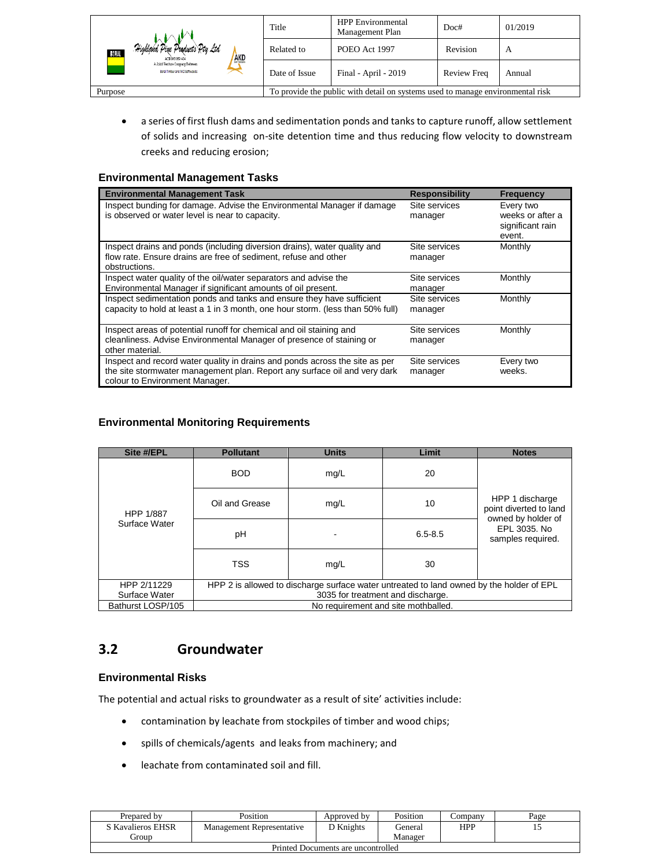| Highland Pine Products Pty Ltd<br><b>RORAL</b><br><b>AKD</b><br>ACN 093 059 404<br>A Joint Venture Company Between<br>Boral Timber and AKD Softwoods | Title         | <b>HPP</b> Environmental<br>Management Plan                                    | Doc#     | 01/2019 |
|------------------------------------------------------------------------------------------------------------------------------------------------------|---------------|--------------------------------------------------------------------------------|----------|---------|
|                                                                                                                                                      | Related to    | POEO Act 1997                                                                  | Revision | A       |
|                                                                                                                                                      | Date of Issue | Final - April - 2019<br><b>Review Freq</b><br>Annual                           |          |         |
| Purpose                                                                                                                                              |               | To provide the public with detail on systems used to manage environmental risk |          |         |

• a series of first flush dams and sedimentation ponds and tanks to capture runoff, allow settlement of solids and increasing on-site detention time and thus reducing flow velocity to downstream creeks and reducing erosion;

#### <span id="page-14-0"></span>**Environmental Management Tasks**

| <b>Environmental Management Task</b>                                                                                                                                                       | <b>Responsibility</b>    | <b>Frequency</b>                                            |
|--------------------------------------------------------------------------------------------------------------------------------------------------------------------------------------------|--------------------------|-------------------------------------------------------------|
| Inspect bunding for damage. Advise the Environmental Manager if damage<br>is observed or water level is near to capacity.                                                                  | Site services<br>manager | Every two<br>weeks or after a<br>significant rain<br>event. |
| Inspect drains and ponds (including diversion drains), water quality and<br>flow rate. Ensure drains are free of sediment, refuse and other<br>obstructions.                               | Site services<br>manager | Monthly                                                     |
| Inspect water quality of the oil/water separators and advise the<br>Environmental Manager if significant amounts of oil present.                                                           | Site services<br>manager | Monthly                                                     |
| Inspect sedimentation ponds and tanks and ensure they have sufficient<br>capacity to hold at least a 1 in 3 month, one hour storm. (less than 50% full)                                    | Site services<br>manager | Monthly                                                     |
| Inspect areas of potential runoff for chemical and oil staining and<br>cleanliness. Advise Environmental Manager of presence of staining or<br>other material.                             | Site services<br>manager | Monthly                                                     |
| Inspect and record water quality in drains and ponds across the site as per<br>the site stormwater management plan. Report any surface oil and very dark<br>colour to Environment Manager. | Site services<br>manager | Every two<br>weeks.                                         |

#### <span id="page-14-1"></span>**Environmental Monitoring Requirements**

| Site #/EPL                 | <b>Pollutant</b>                                                                         | <b>Units</b> | Limit       | <b>Notes</b>                                                    |  |
|----------------------------|------------------------------------------------------------------------------------------|--------------|-------------|-----------------------------------------------------------------|--|
|                            | <b>BOD</b>                                                                               | mg/L         | 20          |                                                                 |  |
| HPP 1/887<br>Surface Water | Oil and Grease                                                                           | mg/L         | 10          | HPP 1 discharge<br>point diverted to land<br>owned by holder of |  |
|                            | pH                                                                                       |              | $6.5 - 8.5$ | EPL 3035. No<br>samples required.                               |  |
|                            | <b>TSS</b>                                                                               | mg/L         | 30          |                                                                 |  |
| HPP 2/11229                | HPP 2 is allowed to discharge surface water untreated to land owned by the holder of EPL |              |             |                                                                 |  |
| Surface Water              | 3035 for treatment and discharge.                                                        |              |             |                                                                 |  |
| Bathurst LOSP/105          | No requirement and site mothballed.                                                      |              |             |                                                                 |  |

## <span id="page-14-2"></span>**3.2 Groundwater**

#### <span id="page-14-3"></span>**Environmental Risks**

The potential and actual risks to groundwater as a result of site' activities include:

- contamination by leachate from stockpiles of timber and wood chips;
- spills of chemicals/agents and leaks from machinery; and
- leachate from contaminated soil and fill.

| Prepared by                        | <b>Position</b>           | Approved by | Position | ∠ompanv | Page |  |
|------------------------------------|---------------------------|-------------|----------|---------|------|--|
| S Kavalieros EHSR                  | Management Representative | ר Knights   | General  | HPP     |      |  |
| . iroun                            |                           |             | Manager  |         |      |  |
| Printed Documents are uncontrolled |                           |             |          |         |      |  |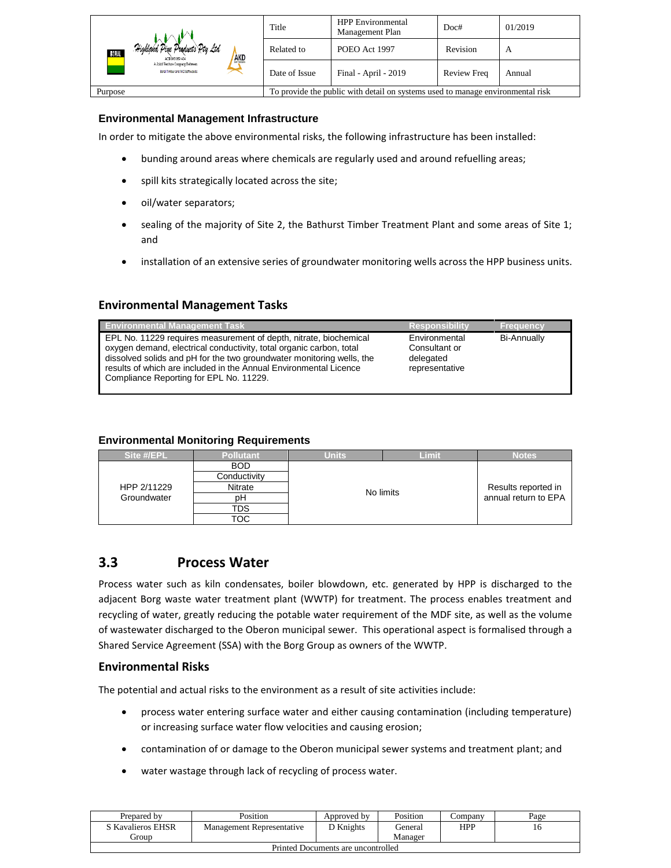| Highland Pine Products Pty Ltd<br>BORAL<br><b>AKD</b><br>ACN 093 059 404<br>A Joint Venture Commany Between<br>Boral Timber and AKD Softwoods | Title         | <b>HPP</b> Environmental<br>Management Plan                                    | Doc#     | 01/2019 |
|-----------------------------------------------------------------------------------------------------------------------------------------------|---------------|--------------------------------------------------------------------------------|----------|---------|
|                                                                                                                                               | Related to    | POEO Act 1997                                                                  | Revision | A       |
|                                                                                                                                               | Date of Issue | Final - April - 2019<br><b>Review Freq</b><br>Annual                           |          |         |
| Purpose                                                                                                                                       |               | To provide the public with detail on systems used to manage environmental risk |          |         |

#### <span id="page-15-0"></span>**Environmental Management Infrastructure**

In order to mitigate the above environmental risks, the following infrastructure has been installed:

- bunding around areas where chemicals are regularly used and around refuelling areas;
- spill kits strategically located across the site;
- oil/water separators;
- sealing of the majority of Site 2, the Bathurst Timber Treatment Plant and some areas of Site 1; and
- installation of an extensive series of groundwater monitoring wells across the HPP business units.

#### **Environmental Management Tasks**

| <b>Environmental Management Task</b>                                                                                                                                                                                                                                                                                              | <b>Responsibility</b>                                         | <b>Frequency</b>   |
|-----------------------------------------------------------------------------------------------------------------------------------------------------------------------------------------------------------------------------------------------------------------------------------------------------------------------------------|---------------------------------------------------------------|--------------------|
| EPL No. 11229 requires measurement of depth, nitrate, biochemical<br>oxygen demand, electrical conductivity, total organic carbon, total<br>dissolved solids and pH for the two groundwater monitoring wells, the<br>results of which are included in the Annual Environmental Licence<br>Compliance Reporting for EPL No. 11229. | Environmental<br>Consultant or<br>delegated<br>representative | <b>Bi-Annually</b> |

#### <span id="page-15-1"></span>**Environmental Monitoring Requirements**

| Site #/EPL  | <b>Pollutant</b> | Units | Limit     | <b>Notes</b>         |
|-------------|------------------|-------|-----------|----------------------|
|             | <b>BOD</b>       |       |           |                      |
|             | Conductivity     |       |           |                      |
| HPP 2/11229 | <b>Nitrate</b>   |       | No limits |                      |
| Groundwater | pН               |       |           | annual return to EPA |
|             | TDS              |       |           |                      |
|             | тос              |       |           |                      |

### <span id="page-15-2"></span>**3.3 Process Water**

Process water such as kiln condensates, boiler blowdown, etc. generated by HPP is discharged to the adjacent Borg waste water treatment plant (WWTP) for treatment. The process enables treatment and recycling of water, greatly reducing the potable water requirement of the MDF site, as well as the volume of wastewater discharged to the Oberon municipal sewer. This operational aspect is formalised through a Shared Service Agreement (SSA) with the Borg Group as owners of the WWTP.

#### **Environmental Risks**

The potential and actual risks to the environment as a result of site activities include:

- process water entering surface water and either causing contamination (including temperature) or increasing surface water flow velocities and causing erosion;
- contamination of or damage to the Oberon municipal sewer systems and treatment plant; and
- water wastage through lack of recycling of process water.

| Prepared by                        | Position                  | Approved by | Position | ∠ompanv    | Page |  |
|------------------------------------|---------------------------|-------------|----------|------------|------|--|
| S Kavalieros EHSR                  | Management Representative | D Knights   | General  | <b>HPP</b> |      |  |
| <b>iroun</b>                       |                           |             | Manager  |            |      |  |
| Printed Documents are uncontrolled |                           |             |          |            |      |  |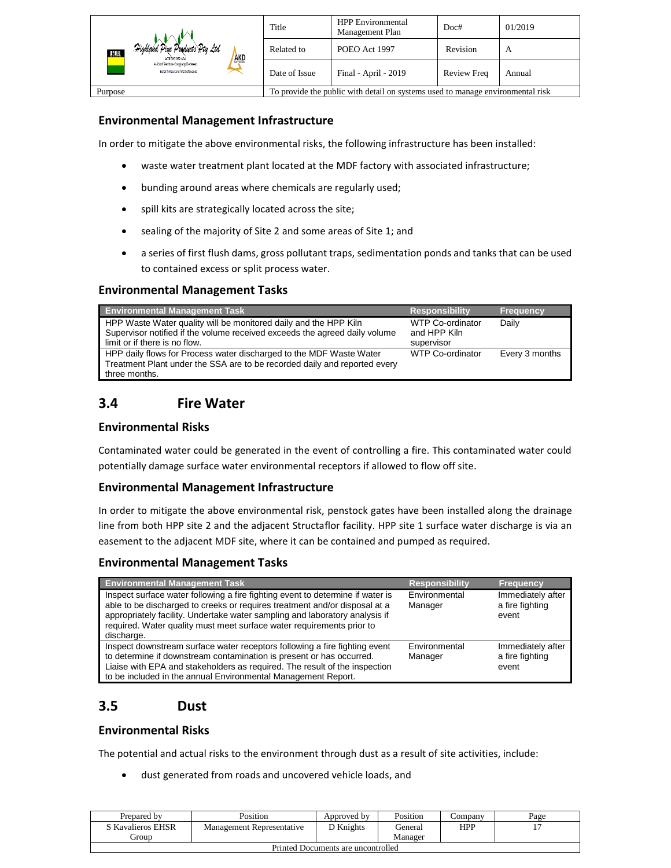| Highland Pine Products Pty Ltd<br>BORAL<br><b>AKD</b><br>ACK 093 059 404<br>A Joint Venture Commany Between<br>Boral Timber and AKD Softwoods | Title         | <b>HPP</b> Environmental<br>Management Plan                                    | Doc#     | 01/2019 |
|-----------------------------------------------------------------------------------------------------------------------------------------------|---------------|--------------------------------------------------------------------------------|----------|---------|
|                                                                                                                                               | Related to    | POEO Act 1997                                                                  | Revision | A       |
|                                                                                                                                               | Date of Issue | Final - April - 2019<br><b>Review Freq</b><br>Annual                           |          |         |
| Purpose                                                                                                                                       |               | To provide the public with detail on systems used to manage environmental risk |          |         |

#### **Environmental Management Infrastructure**

In order to mitigate the above environmental risks, the following infrastructure has been installed:

- waste water treatment plant located at the MDF factory with associated infrastructure;
- bunding around areas where chemicals are regularly used;
- spill kits are strategically located across the site;
- sealing of the majority of Site 2 and some areas of Site 1; and
- a series of first flush dams, gross pollutant traps, sedimentation ponds and tanks that can be used to contained excess or split process water.

#### **Environmental Management Tasks**

| <b>Environmental Management Task</b>                                                                                                                                            | <b>Responsibility</b>                          | <b>Frequency</b> |
|---------------------------------------------------------------------------------------------------------------------------------------------------------------------------------|------------------------------------------------|------------------|
| HPP Waste Water quality will be monitored daily and the HPP Kiln<br>Supervisor notified if the volume received exceeds the agreed daily volume<br>limit or if there is no flow. | WTP Co-ordinator<br>and HPP Kiln<br>supervisor | Daily            |
| HPP daily flows for Process water discharged to the MDF Waste Water<br>Treatment Plant under the SSA are to be recorded daily and reported every<br>three months.               | WTP Co-ordinator                               | Every 3 months   |

## <span id="page-16-0"></span>**3.4 Fire Water**

#### **Environmental Risks**

Contaminated water could be generated in the event of controlling a fire. This contaminated water could potentially damage surface water environmental receptors if allowed to flow off site.

#### **Environmental Management Infrastructure**

In order to mitigate the above environmental risk, penstock gates have been installed along the drainage line from both HPP site 2 and the adjacent Structaflor facility. HPP site 1 surface water discharge is via an easement to the adjacent MDF site, where it can be contained and pumped as required.

#### **Environmental Management Tasks**

| <b>Environmental Management Task</b>                                                                                                                                                                                                                                                                                               | <b>Responsibility</b>    | <b>Frequency</b>                              |
|------------------------------------------------------------------------------------------------------------------------------------------------------------------------------------------------------------------------------------------------------------------------------------------------------------------------------------|--------------------------|-----------------------------------------------|
| Inspect surface water following a fire fighting event to determine if water is<br>able to be discharged to creeks or requires treatment and/or disposal at a<br>appropriately facility. Undertake water sampling and laboratory analysis if<br>required. Water quality must meet surface water requirements prior to<br>discharge. | Environmental<br>Manager | Immediately after<br>a fire fighting<br>event |
| Inspect downstream surface water receptors following a fire fighting event<br>to determine if downstream contamination is present or has occurred.<br>Liaise with EPA and stakeholders as required. The result of the inspection<br>to be included in the annual Environmental Management Report.                                  | Environmental<br>Manager | Immediately after<br>a fire fighting<br>event |

## <span id="page-16-1"></span>**3.5 Dust**

#### **Environmental Risks**

The potential and actual risks to the environment through dust as a result of site activities, include:

• dust generated from roads and uncovered vehicle loads, and

| Prepared by                        | Position                  | Approved by | Position | company | Page |
|------------------------------------|---------------------------|-------------|----------|---------|------|
| S Kavalieros EHSR                  | Management Representative | D Knights   | General  | HPP     |      |
| <b>iroun</b>                       |                           |             | Manager  |         |      |
| Printed Documents are uncontrolled |                           |             |          |         |      |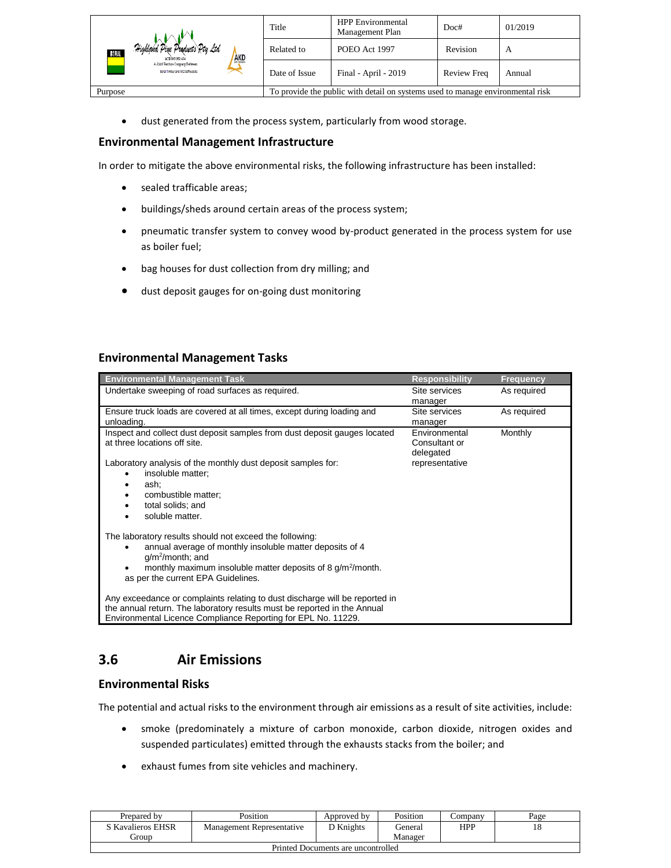| Highland Pine Products Pty Ltd<br>BORAL<br><b>AKD</b><br>ACK 093 059 404 | Title                                                                          | <b>HPP</b> Environmental<br>Management Plan | Doc#               | 01/2019 |
|--------------------------------------------------------------------------|--------------------------------------------------------------------------------|---------------------------------------------|--------------------|---------|
|                                                                          | Related to                                                                     | POEO Act 1997                               | Revision           | A       |
| A Joint Venture Commany Between<br>Boral Timber and AKD Softwoods        | Date of Issue                                                                  | Final - April - 2019                        | <b>Review Freq</b> | Annual  |
| Purpose                                                                  | To provide the public with detail on systems used to manage environmental risk |                                             |                    |         |

• dust generated from the process system, particularly from wood storage.

#### **Environmental Management Infrastructure**

In order to mitigate the above environmental risks, the following infrastructure has been installed:

- sealed trafficable areas;
- buildings/sheds around certain areas of the process system;
- pneumatic transfer system to convey wood by-product generated in the process system for use as boiler fuel;
- bag houses for dust collection from dry milling; and
- dust deposit gauges for on-going dust monitoring

#### **Environmental Management Tasks**

| <b>Environmental Management Task</b>                                                                                                                                                                                                                    | <b>Responsibility</b>                       | <b>Frequency</b> |
|---------------------------------------------------------------------------------------------------------------------------------------------------------------------------------------------------------------------------------------------------------|---------------------------------------------|------------------|
| Undertake sweeping of road surfaces as required.                                                                                                                                                                                                        | Site services<br>manager                    | As required      |
| Ensure truck loads are covered at all times, except during loading and<br>unloading.                                                                                                                                                                    | Site services<br>manager                    | As required      |
| Inspect and collect dust deposit samples from dust deposit gauges located<br>at three locations off site.                                                                                                                                               | Environmental<br>Consultant or<br>delegated | Monthly          |
| Laboratory analysis of the monthly dust deposit samples for:<br>insoluble matter;<br>٠<br>ash;<br>combustible matter;<br>total solids; and<br>soluble matter.                                                                                           | representative                              |                  |
| The laboratory results should not exceed the following:<br>annual average of monthly insoluble matter deposits of 4<br>٠<br>$g/m^2$ /month; and<br>monthly maximum insoluble matter deposits of 8 $g/m^2$ /month.<br>as per the current EPA Guidelines. |                                             |                  |
| Any exceedance or complaints relating to dust discharge will be reported in<br>the annual return. The laboratory results must be reported in the Annual<br>Environmental Licence Compliance Reporting for EPL No. 11229.                                |                                             |                  |

## <span id="page-17-0"></span>**3.6 Air Emissions**

#### **Environmental Risks**

The potential and actual risks to the environment through air emissions as a result of site activities, include:

- smoke (predominately a mixture of carbon monoxide, carbon dioxide, nitrogen oxides and suspended particulates) emitted through the exhausts stacks from the boiler; and
- exhaust fumes from site vehicles and machinery.

| Prepared by                        | Position                  | Approved by | Position | ∠ompanv | Page |  |
|------------------------------------|---------------------------|-------------|----------|---------|------|--|
| S Kavalieros EHSR                  | Management Representative | ר Knights   | General  | HPP     | 18   |  |
| . iroun                            |                           |             | Manager  |         |      |  |
| Printed Documents are uncontrolled |                           |             |          |         |      |  |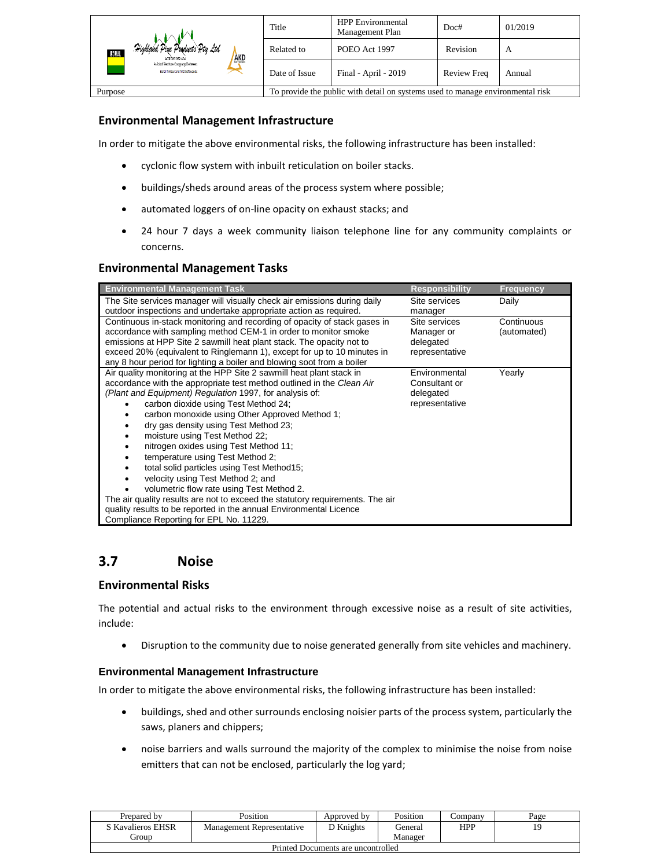|                                                                          | Title                                                                          | <b>HPP</b> Environmental<br>Management Plan | Doc#               | 01/2019 |
|--------------------------------------------------------------------------|--------------------------------------------------------------------------------|---------------------------------------------|--------------------|---------|
| Highland Pine Products Pty Ltd<br>BORAL<br><b>AKD</b><br>ACN 093 059 404 | Related to                                                                     | POEO Act 1997                               | Revision           | A       |
| A Joint Venture Commany Between<br>Boral Timber and AKD Softwoods        | Date of Issue                                                                  | Final - April - 2019                        | <b>Review Freq</b> | Annual  |
| Purpose                                                                  | To provide the public with detail on systems used to manage environmental risk |                                             |                    |         |

#### **Environmental Management Infrastructure**

In order to mitigate the above environmental risks, the following infrastructure has been installed:

- cyclonic flow system with inbuilt reticulation on boiler stacks.
- buildings/sheds around areas of the process system where possible;
- automated loggers of on-line opacity on exhaust stacks; and
- 24 hour 7 days a week community liaison telephone line for any community complaints or concerns.

#### **Environmental Management Tasks**

| <b>Environmental Management Task</b>                                          | <b>Responsibility</b> | <b>Frequency</b> |
|-------------------------------------------------------------------------------|-----------------------|------------------|
| The Site services manager will visually check air emissions during daily      | Site services         | Daily            |
| outdoor inspections and undertake appropriate action as required.             | manager               |                  |
| Continuous in-stack monitoring and recording of opacity of stack gases in     | Site services         | Continuous       |
| accordance with sampling method CEM-1 in order to monitor smoke               | Manager or            | (automated)      |
| emissions at HPP Site 2 sawmill heat plant stack. The opacity not to          | delegated             |                  |
| exceed 20% (equivalent to Ringlemann 1), except for up to 10 minutes in       | representative        |                  |
| any 8 hour period for lighting a boiler and blowing soot from a boiler        |                       |                  |
| Air quality monitoring at the HPP Site 2 sawmill heat plant stack in          | Environmental         | Yearly           |
| accordance with the appropriate test method outlined in the Clean Air         | Consultant or         |                  |
| (Plant and Equipment) Regulation 1997, for analysis of:                       | delegated             |                  |
| carbon dioxide using Test Method 24;                                          | representative        |                  |
| carbon monoxide using Other Approved Method 1;                                |                       |                  |
| dry gas density using Test Method 23;                                         |                       |                  |
| moisture using Test Method 22;                                                |                       |                  |
| nitrogen oxides using Test Method 11;                                         |                       |                  |
|                                                                               |                       |                  |
| temperature using Test Method 2:                                              |                       |                  |
| total solid particles using Test Method15;                                    |                       |                  |
| velocity using Test Method 2; and                                             |                       |                  |
| volumetric flow rate using Test Method 2.                                     |                       |                  |
| The air quality results are not to exceed the statutory requirements. The air |                       |                  |
| quality results to be reported in the annual Environmental Licence            |                       |                  |
| Compliance Reporting for EPL No. 11229.                                       |                       |                  |

## <span id="page-18-0"></span>**3.7 Noise**

#### **Environmental Risks**

The potential and actual risks to the environment through excessive noise as a result of site activities, include:

• Disruption to the community due to noise generated generally from site vehicles and machinery.

#### <span id="page-18-1"></span>**Environmental Management Infrastructure**

In order to mitigate the above environmental risks, the following infrastructure has been installed:

- buildings, shed and other surrounds enclosing noisier parts of the process system, particularly the saws, planers and chippers;
- noise barriers and walls surround the majority of the complex to minimise the noise from noise emitters that can not be enclosed, particularly the log yard;

| Prepared by                        | Position                         | Approved by | Position | ∠ompanv    | Page |
|------------------------------------|----------------------------------|-------------|----------|------------|------|
| S Kavalieros EHSR                  | <b>Management Representative</b> | D Knights   | General  | <b>HPP</b> | ۱C   |
| . iroun                            |                                  |             | Manager  |            |      |
| Printed Documents are uncontrolled |                                  |             |          |            |      |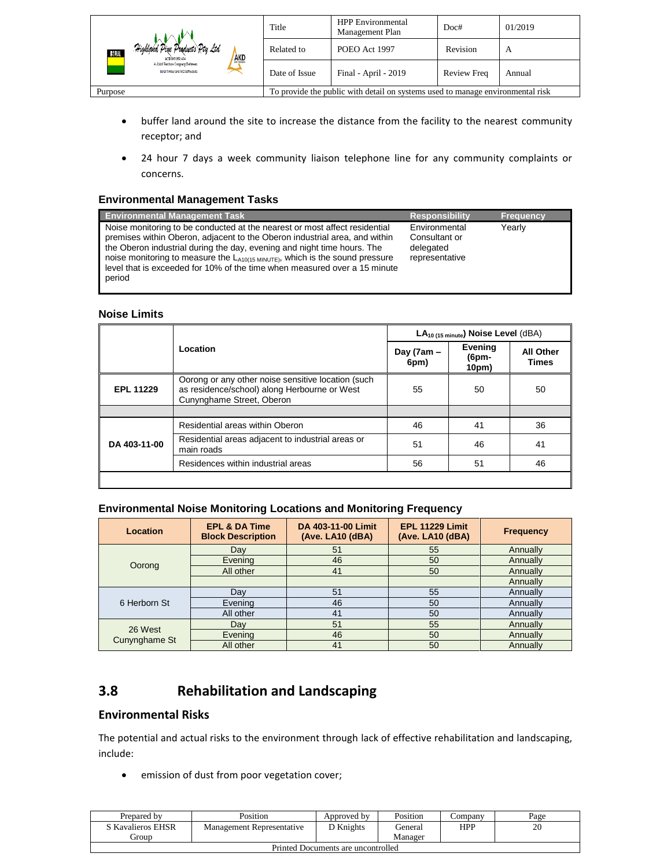| Highland Pine Products Pty Ltd<br>30 J.A.<br><b>AKD</b><br>ACN 093 059 404 | Title         | <b>HPP</b> Environmental<br>Management Plan                                    | Doc#               | 01/2019 |
|----------------------------------------------------------------------------|---------------|--------------------------------------------------------------------------------|--------------------|---------|
|                                                                            | Related to    | POEO Act 1997                                                                  | Revision           | A       |
| A Joint Venture Company Between<br>Boral Timber and AKD Softwoods          | Date of Issue | Final - April - 2019                                                           | <b>Review Freq</b> | Annual  |
| Purpose                                                                    |               | To provide the public with detail on systems used to manage environmental risk |                    |         |

- buffer land around the site to increase the distance from the facility to the nearest community receptor; and
- 24 hour 7 days a week community liaison telephone line for any community complaints or concerns.

#### <span id="page-19-0"></span>**Environmental Management Tasks**

| <b>Environmental Management Task</b>                                                                                                                                                                                                                                                                                                                                                                                     | <b>Responsibility</b>                                         | <b>Frequency</b> |
|--------------------------------------------------------------------------------------------------------------------------------------------------------------------------------------------------------------------------------------------------------------------------------------------------------------------------------------------------------------------------------------------------------------------------|---------------------------------------------------------------|------------------|
| Noise monitoring to be conducted at the nearest or most affect residential<br>premises within Oberon, adjacent to the Oberon industrial area, and within<br>the Oberon industrial during the day, evening and night time hours. The<br>noise monitoring to measure the $L_{A10(15 \text{ MINUTE})}$ , which is the sound pressure<br>level that is exceeded for 10% of the time when measured over a 15 minute<br>period | Environmental<br>Consultant or<br>delegated<br>representative | Yearly           |

#### <span id="page-19-1"></span>**Noise Limits**

|                  |                                                                                                                                 |                       | $LA_{10(15 minute)}$ Noise Level (dBA) |                                  |
|------------------|---------------------------------------------------------------------------------------------------------------------------------|-----------------------|----------------------------------------|----------------------------------|
|                  | Location                                                                                                                        | Day ( $7am -$<br>6pm) | Evening<br>(6pm-<br>10pm)              | <b>All Other</b><br><b>Times</b> |
| <b>EPL 11229</b> | Oorong or any other noise sensitive location (such<br>as residence/school) along Herbourne or West<br>Cunynghame Street, Oberon | 55                    | 50                                     | 50                               |
|                  |                                                                                                                                 |                       |                                        |                                  |
|                  | Residential areas within Oberon                                                                                                 | 46                    | 41                                     | 36                               |
| DA 403-11-00     | Residential areas adjacent to industrial areas or<br>main roads                                                                 | 51                    | 46                                     | 41                               |
|                  | Residences within industrial areas                                                                                              | 56                    | 51                                     | 46                               |
|                  |                                                                                                                                 |                       |                                        |                                  |

#### <span id="page-19-2"></span>**Environmental Noise Monitoring Locations and Monitoring Frequency**

| Location                 | <b>EPL &amp; DA Time</b><br><b>Block Description</b> | DA 403-11-00 Limit<br>(Ave. LA10 (dBA) | <b>EPL 11229 Limit</b><br>(Ave. LA10 (dBA)) | <b>Frequency</b> |
|--------------------------|------------------------------------------------------|----------------------------------------|---------------------------------------------|------------------|
|                          | Dav                                                  | 51                                     | 55                                          | Annually         |
|                          | Evening                                              | 46                                     | 50                                          | Annually         |
| Oorong                   | All other                                            | 41                                     | 50                                          | Annually         |
|                          |                                                      |                                        |                                             | Annually         |
|                          | Dav                                                  | 51                                     | 55                                          | Annually         |
| 6 Herborn St             | Evening                                              | 46                                     | 50                                          | Annually         |
|                          | All other                                            | 41                                     | 50                                          | Annually         |
| 26 West<br>Cunynghame St | Dav                                                  | 51                                     | 55                                          | Annually         |
|                          | Evening                                              | 46                                     | 50                                          | Annually         |
|                          | All other                                            | 41                                     | 50                                          | Annually         |

## <span id="page-19-3"></span>**3.8 Rehabilitation and Landscaping**

#### **Environmental Risks**

The potential and actual risks to the environment through lack of effective rehabilitation and landscaping, include:

• emission of dust from poor vegetation cover;

| Prepared by                        | Position                  | Approved by      | Position | Company | Page |  |
|------------------------------------|---------------------------|------------------|----------|---------|------|--|
| S Kavalieros EHSR                  | Management Representative | <b>D</b> Knights | General  | HPP     | 20   |  |
| <b>iroup</b>                       |                           |                  | Manager  |         |      |  |
| Printed Documents are uncontrolled |                           |                  |          |         |      |  |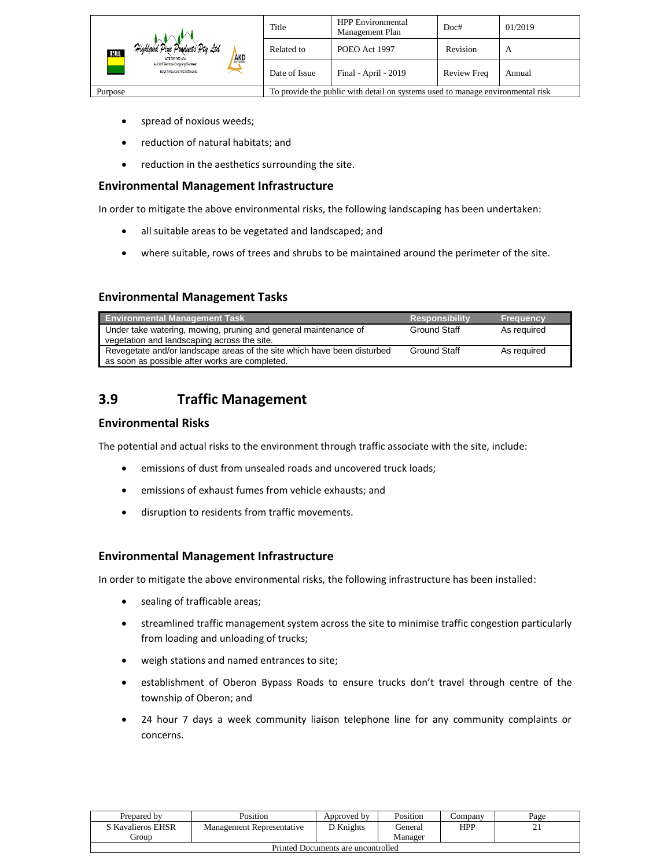|                                                                          | Title                                                                          | <b>HPP</b> Environmental<br>Management Plan          | Doc#     | 01/2019 |
|--------------------------------------------------------------------------|--------------------------------------------------------------------------------|------------------------------------------------------|----------|---------|
| Highland Pine Products Pty Ltd<br>BORAL<br><b>AKD</b><br>ACK 093 059 404 | Related to                                                                     | POEO Act 1997                                        | Revision | A       |
| A Joint Venture Commany Between<br>Boral Timber and AKD Softwoods        | Date of Issue                                                                  | Final - April - 2019<br><b>Review Freq</b><br>Annual |          |         |
| Purpose                                                                  | To provide the public with detail on systems used to manage environmental risk |                                                      |          |         |

- spread of noxious weeds;
- reduction of natural habitats; and
- reduction in the aesthetics surrounding the site.

#### **Environmental Management Infrastructure**

In order to mitigate the above environmental risks, the following landscaping has been undertaken:

- all suitable areas to be vegetated and landscaped; and
- where suitable, rows of trees and shrubs to be maintained around the perimeter of the site.

#### **Environmental Management Tasks**

| <b>Environmental Management Task</b>                                                                                      | <b>Responsibility</b> | <b>Frequency</b> |
|---------------------------------------------------------------------------------------------------------------------------|-----------------------|------------------|
| Under take watering, mowing, pruning and general maintenance of<br>vegetation and landscaping across the site.            | Ground Staff          | As required      |
| Revegetate and/or landscape areas of the site which have been disturbed<br>as soon as possible after works are completed. | Ground Staff          | As reauired      |

## <span id="page-20-0"></span>**3.9 Traffic Management**

#### **Environmental Risks**

The potential and actual risks to the environment through traffic associate with the site, include:

- emissions of dust from unsealed roads and uncovered truck loads;
- emissions of exhaust fumes from vehicle exhausts; and
- disruption to residents from traffic movements.

#### **Environmental Management Infrastructure**

In order to mitigate the above environmental risks, the following infrastructure has been installed:

- sealing of trafficable areas;
- streamlined traffic management system across the site to minimise traffic congestion particularly from loading and unloading of trucks;
- weigh stations and named entrances to site;
- establishment of Oberon Bypass Roads to ensure trucks don't travel through centre of the township of Oberon; and
- 24 hour 7 days a week community liaison telephone line for any community complaints or concerns.

| Prepared by                        | Position                  | Approved by | Position | ∠ompanv    | Page |  |
|------------------------------------|---------------------------|-------------|----------|------------|------|--|
| S Kavalieros EHSR                  | Management Representative | ת Knights   | General  | <b>HPP</b> | - -  |  |
| Group                              |                           |             | Manager  |            |      |  |
| Printed Documents are uncontrolled |                           |             |          |            |      |  |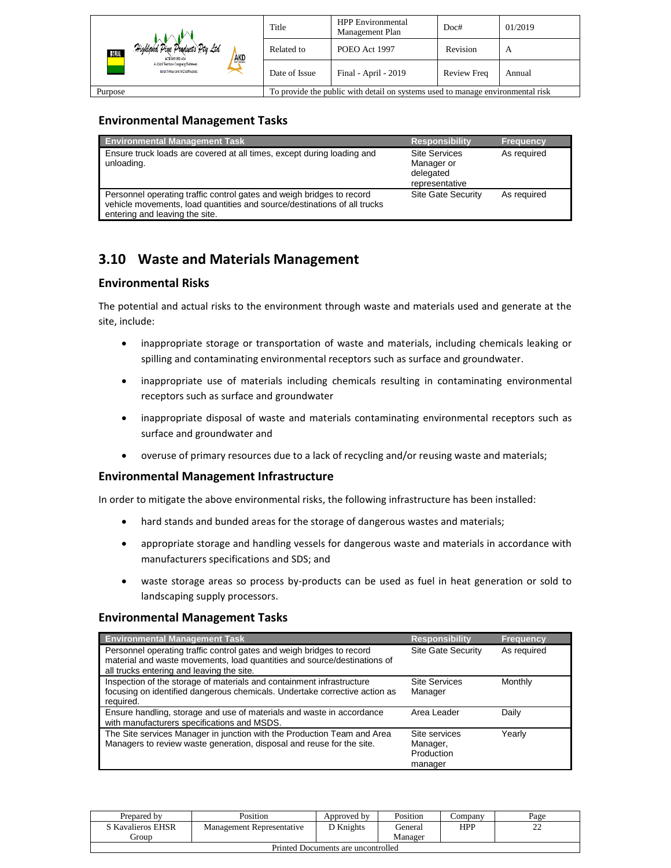|                                                                           | Title                                                                          | <b>HPP</b> Environmental<br>Management Plan          | Doc#     | 01/2019 |  |
|---------------------------------------------------------------------------|--------------------------------------------------------------------------------|------------------------------------------------------|----------|---------|--|
| Highland Pine Products Pty Ltd<br>BORAL<br><b>AKD</b><br>ACTI DRS CER 404 | Related to                                                                     | POEO Act 1997                                        | Revision | A       |  |
| A Joint Venture Consums Between<br>Boral Timber and AKD Softwoods         | Date of Issue                                                                  | Final - April - 2019<br><b>Review Freq</b><br>Annual |          |         |  |
| Purpose                                                                   | To provide the public with detail on systems used to manage environmental risk |                                                      |          |         |  |

#### **Environmental Management Tasks**

| <b>Environmental Management Task</b>                                                                                                                                                | <b>Responsibility</b>                                             | <b>Frequency</b> |
|-------------------------------------------------------------------------------------------------------------------------------------------------------------------------------------|-------------------------------------------------------------------|------------------|
| Ensure truck loads are covered at all times, except during loading and<br>unloading.                                                                                                | <b>Site Services</b><br>Manager or<br>delegated<br>representative | As required      |
| Personnel operating traffic control gates and weigh bridges to record<br>vehicle movements, load quantities and source/destinations of all trucks<br>entering and leaving the site. | <b>Site Gate Security</b>                                         | As required      |

## <span id="page-21-0"></span>**3.10 Waste and Materials Management**

#### **Environmental Risks**

The potential and actual risks to the environment through waste and materials used and generate at the site, include:

- inappropriate storage or transportation of waste and materials, including chemicals leaking or spilling and contaminating environmental receptors such as surface and groundwater.
- inappropriate use of materials including chemicals resulting in contaminating environmental receptors such as surface and groundwater
- inappropriate disposal of waste and materials contaminating environmental receptors such as surface and groundwater and
- overuse of primary resources due to a lack of recycling and/or reusing waste and materials;

#### **Environmental Management Infrastructure**

In order to mitigate the above environmental risks, the following infrastructure has been installed:

- hard stands and bunded areas for the storage of dangerous wastes and materials;
- appropriate storage and handling vessels for dangerous waste and materials in accordance with manufacturers specifications and SDS; and
- waste storage areas so process by-products can be used as fuel in heat generation or sold to landscaping supply processors.

#### **Environmental Management Tasks**

| <b>Environmental Management Task</b>                                                                                                                                                           | <b>Responsibility</b>                              | <b>Frequency</b> |
|------------------------------------------------------------------------------------------------------------------------------------------------------------------------------------------------|----------------------------------------------------|------------------|
| Personnel operating traffic control gates and weigh bridges to record<br>material and waste movements, load quantities and source/destinations of<br>all trucks entering and leaving the site. | Site Gate Security                                 | As required      |
| Inspection of the storage of materials and containment infrastructure<br>focusing on identified dangerous chemicals. Undertake corrective action as<br>required.                               | <b>Site Services</b><br>Manager                    | Monthly          |
| Ensure handling, storage and use of materials and waste in accordance<br>with manufacturers specifications and MSDS.                                                                           | Area Leader                                        | Daily            |
| The Site services Manager in junction with the Production Team and Area<br>Managers to review waste generation, disposal and reuse for the site.                                               | Site services<br>Manager,<br>Production<br>manager | Yearly           |

| Prepared by                        | Position                  | Approved by | Position | :ompany | Page        |  |  |
|------------------------------------|---------------------------|-------------|----------|---------|-------------|--|--|
| S Kavalieros EHSR                  | Management Representative | D Knights   | General  | HPP     | $\sim$<br>∸ |  |  |
| eroup                              |                           |             | Manager  |         |             |  |  |
| Printed Documents are uncontrolled |                           |             |          |         |             |  |  |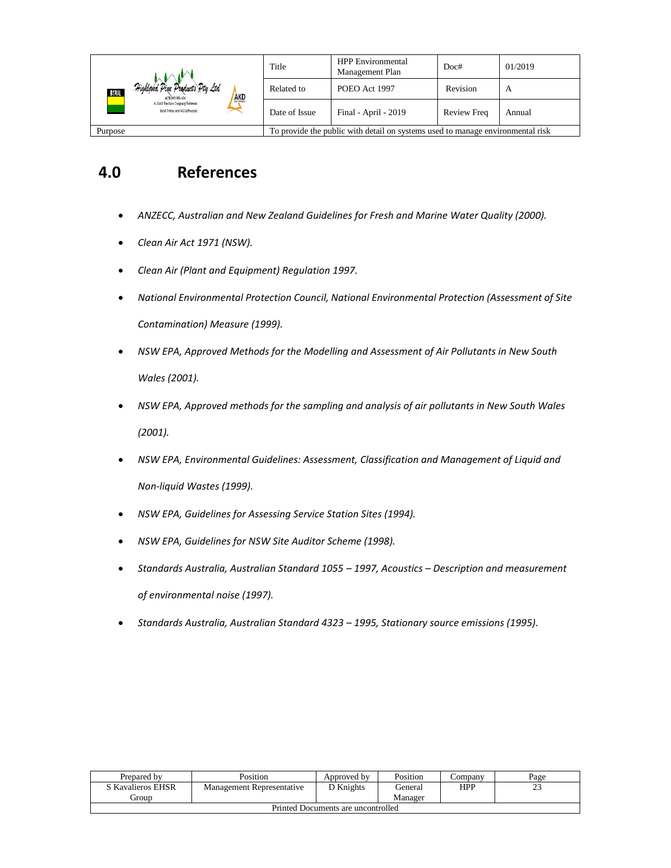|                                                                          | Title                                                                          | <b>HPP</b> Environmental<br>Management Plan | Doc#        | 01/2019 |
|--------------------------------------------------------------------------|--------------------------------------------------------------------------------|---------------------------------------------|-------------|---------|
| Highland Pine Products Pty Ltd<br>BORAL<br><b>AKD</b><br>ACK 093 059 404 | Related to                                                                     | POEO Act 1997                               | Revision    | A       |
| A Joint Venture Commany Between<br>Boral Timber and AKD Softwoods        | Date of Issue                                                                  | Final - April - 2019                        | Review Freq | Annual  |
| Purpose                                                                  | To provide the public with detail on systems used to manage environmental risk |                                             |             |         |

## <span id="page-22-0"></span>**4.0 References**

- *ANZECC, Australian and New Zealand Guidelines for Fresh and Marine Water Quality (2000).*
- *Clean Air Act 1971 (NSW).*
- *Clean Air (Plant and Equipment) Regulation 1997.*
- *National Environmental Protection Council, National Environmental Protection (Assessment of Site Contamination) Measure (1999).*
- *NSW EPA, Approved Methods for the Modelling and Assessment of Air Pollutants in New South Wales (2001).*
- *NSW EPA, Approved methods for the sampling and analysis of air pollutants in New South Wales (2001).*
- *NSW EPA, Environmental Guidelines: Assessment, Classification and Management of Liquid and Non-liquid Wastes (1999).*
- *NSW EPA, Guidelines for Assessing Service Station Sites (1994).*
- *NSW EPA, Guidelines for NSW Site Auditor Scheme (1998).*
- *Standards Australia, Australian Standard 1055 – 1997, Acoustics – Description and measurement of environmental noise (1997).*
- *Standards Australia, Australian Standard 4323 – 1995, Stationary source emissions (1995).*

| Prepared by                        | Position                  | Approved by | Position | ∠ompanv | Page                |  |
|------------------------------------|---------------------------|-------------|----------|---------|---------------------|--|
| S Kavalieros EHSR                  | Management Representative | D Knights   | General  | HPP     | $\mathcal{L}$<br>23 |  |
| . iroup                            |                           |             | Manager  |         |                     |  |
| Printed Documents are uncontrolled |                           |             |          |         |                     |  |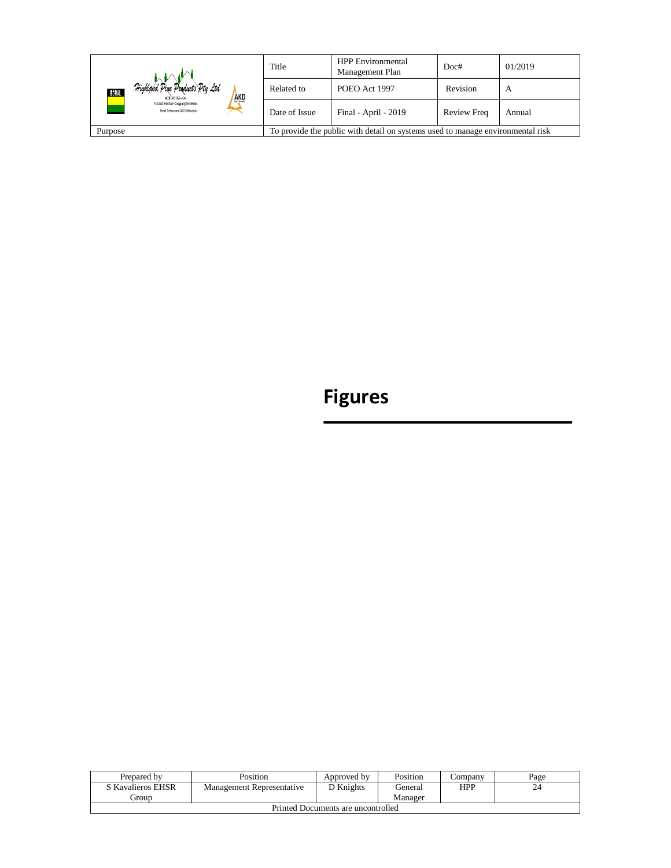|                                                                           | Title                                                                          | <b>HPP</b> Environmental<br>Management Plan | Doc#        | 01/2019 |
|---------------------------------------------------------------------------|--------------------------------------------------------------------------------|---------------------------------------------|-------------|---------|
| Highland Pine Products Pty Ltd.<br>BORAL<br><b>AKD</b><br>ACK 093 059 404 | Related to                                                                     | POEO Act 1997                               | Revision    | A       |
| A Joint Venture Company Between<br>Boral Timber and AKD Softwoods         | Date of Issue                                                                  | Final - April - 2019                        | Review Freq | Annual  |
| Purpose                                                                   | To provide the public with detail on systems used to manage environmental risk |                                             |             |         |

# **Figures**

| Prepared by                        | Position                  | Approved by | Position | ∠ompanv    | Page |  |
|------------------------------------|---------------------------|-------------|----------|------------|------|--|
| S Kavalieros EHSR                  | Management Representative | D Knights   | General  | <b>HPP</b> | 24   |  |
| l iroun.                           |                           |             | Manager  |            |      |  |
| Printed Documents are uncontrolled |                           |             |          |            |      |  |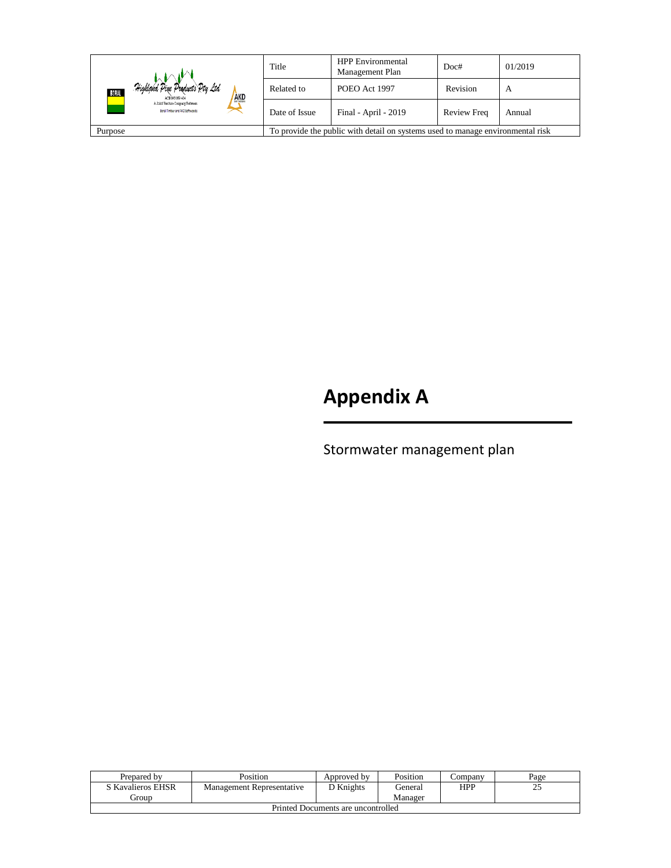|                                                                           | Title                                                                          | <b>HPP</b> Environmental<br>Management Plan | Doc#        | 01/2019 |
|---------------------------------------------------------------------------|--------------------------------------------------------------------------------|---------------------------------------------|-------------|---------|
| Highland Pine Products Pty Ltd.<br>BORAL<br><b>AKD</b><br>ACK 093 059 404 | Related to                                                                     | POEO Act 1997                               | Revision    | A       |
| A Joint Venture Company Between<br>Boral Timber and AKD Softwoods         | Date of Issue                                                                  | Final - April - 2019                        | Review Freq | Annual  |
| Purpose                                                                   | To provide the public with detail on systems used to manage environmental risk |                                             |             |         |

# **Appendix A**

Stormwater management plan

| Prepared by                        | Position                  | Approved by | Position | ∠ompanv    | Page |  |
|------------------------------------|---------------------------|-------------|----------|------------|------|--|
| S Kavalieros EHSR                  | Management Representative | D Knights   | General: | <b>HPP</b> | 25   |  |
| Group                              |                           |             | Manager  |            |      |  |
| Printed Documents are uncontrolled |                           |             |          |            |      |  |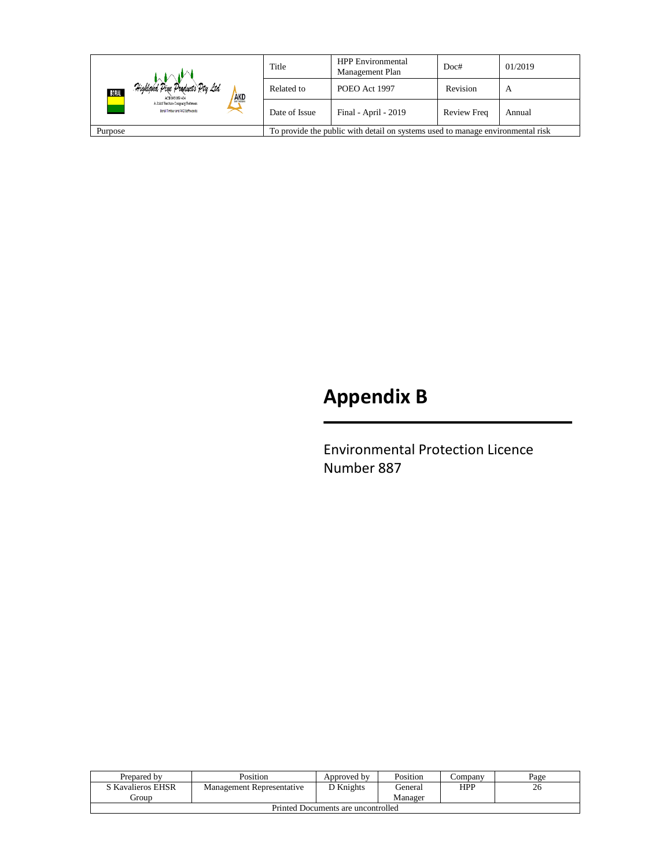|                                                                                           | Title         | <b>HPP</b> Environmental<br>Management Plan | Doc#        | 01/2019 |
|-------------------------------------------------------------------------------------------|---------------|---------------------------------------------|-------------|---------|
| Highland Pine Products Pty Ltd.<br>BORAL<br><b>AKD</b><br>ACK 093 059 404                 | Related to    | POEO Act 1997                               | Revision    | A       |
| A Joint Venture Company Between<br>Boral Timber and AKD Softwoods                         | Date of Issue | Final - April - 2019                        | Review Freq | Annual  |
| To provide the public with detail on systems used to manage environmental risk<br>Purpose |               |                                             |             |         |

# **Appendix B**

Environmental Protection Licence Number 887

| Prepared by                        | Position                  | Approved by | Position  | Company | Page |  |
|------------------------------------|---------------------------|-------------|-----------|---------|------|--|
| S Kavalieros EHSR                  | Management Representative | D Knights   | l ieneral | HPP     | 26   |  |
| Group                              |                           |             | Manager   |         |      |  |
| Printed Documents are uncontrolled |                           |             |           |         |      |  |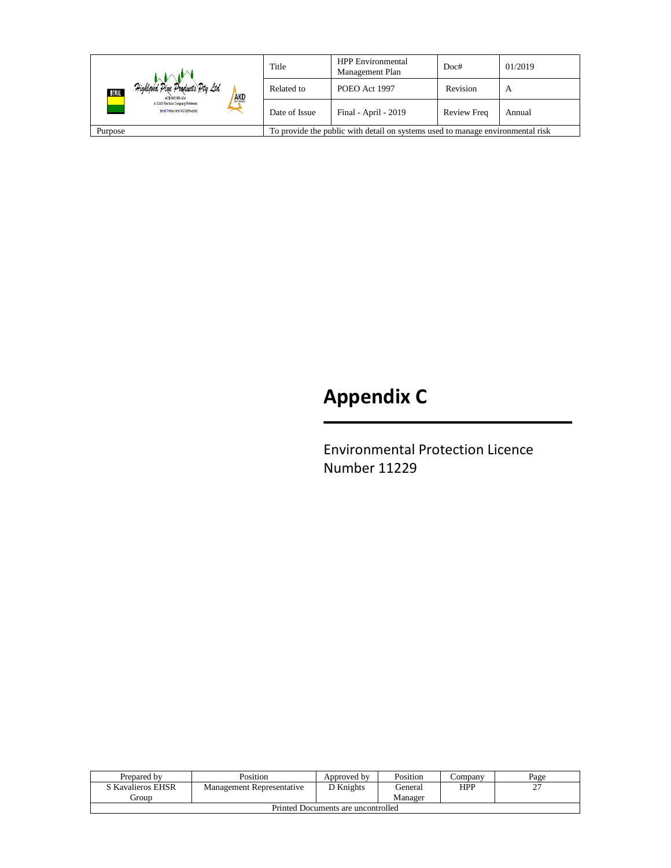|                                                                                           | Title         | <b>HPP</b> Environmental<br>Management Plan | Doc#        | 01/2019 |
|-------------------------------------------------------------------------------------------|---------------|---------------------------------------------|-------------|---------|
| Highland Pine Products Pty Ltd<br>BORAL<br><b>AKD</b><br>ACK 093 059 404                  | Related to    | POEO Act 1997                               | Revision    | A       |
| A Joint Venture Company Between<br>Boral Timber and AKD Softwoods                         | Date of Issue | Final - April - 2019                        | Review Freq | Annual  |
| To provide the public with detail on systems used to manage environmental risk<br>Purpose |               |                                             |             |         |

# **Appendix C**

Environmental Protection Licence Number 11229

| Prepared by                        | Position                  | Approved by | Position | ∠ompanv    | Page   |  |
|------------------------------------|---------------------------|-------------|----------|------------|--------|--|
| S Kavalieros EHSR                  | Management Representative | ר Knights   | General  | <b>HPP</b> | $\sim$ |  |
| . iroup                            |                           |             | Manager  |            |        |  |
| Printed Documents are uncontrolled |                           |             |          |            |        |  |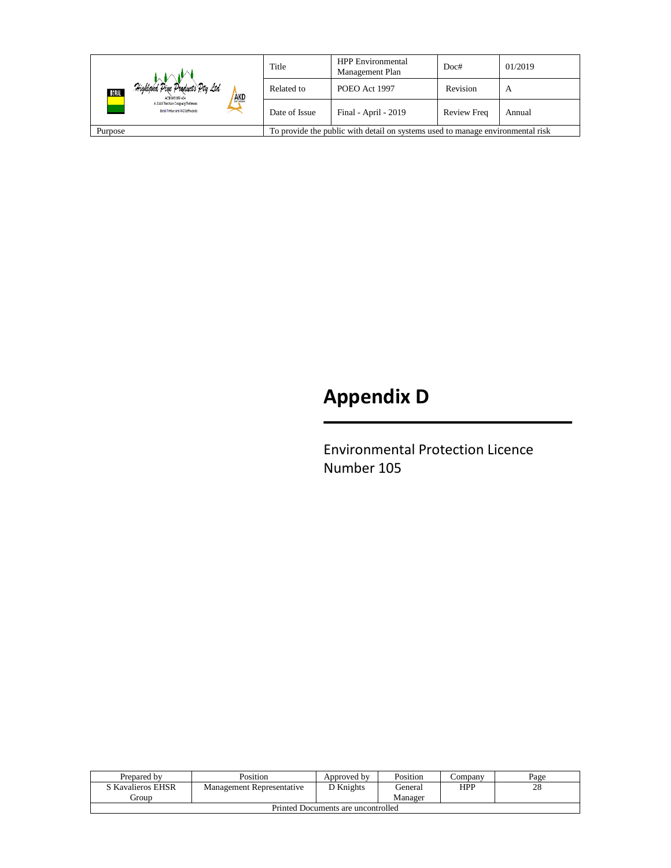|                                                                                           | Title         | <b>HPP</b> Environmental<br>Management Plan | Doc#        | 01/2019 |
|-------------------------------------------------------------------------------------------|---------------|---------------------------------------------|-------------|---------|
| Highland Pine Products Pty Ltd.<br>BORAL<br><b>AKD</b><br>ACK 093 059 404                 | Related to    | POEO Act 1997                               | Revision    | A       |
| A Joint Venture Company Between<br>Boral Timber and AKD Softwoods                         | Date of Issue | Final - April - 2019                        | Review Freq | Annual  |
| To provide the public with detail on systems used to manage environmental risk<br>Purpose |               |                                             |             |         |

# **Appendix D**

Environmental Protection Licence Number 105

| Prepared by                        | Position                  | Approved by | Position | ∠ompanv | Page |  |
|------------------------------------|---------------------------|-------------|----------|---------|------|--|
| S Kavalieros EHSR                  | Management Representative | ∩ Knights   | General  | HPP     | 28   |  |
| Group                              |                           |             | Manager  |         |      |  |
| Printed Documents are uncontrolled |                           |             |          |         |      |  |